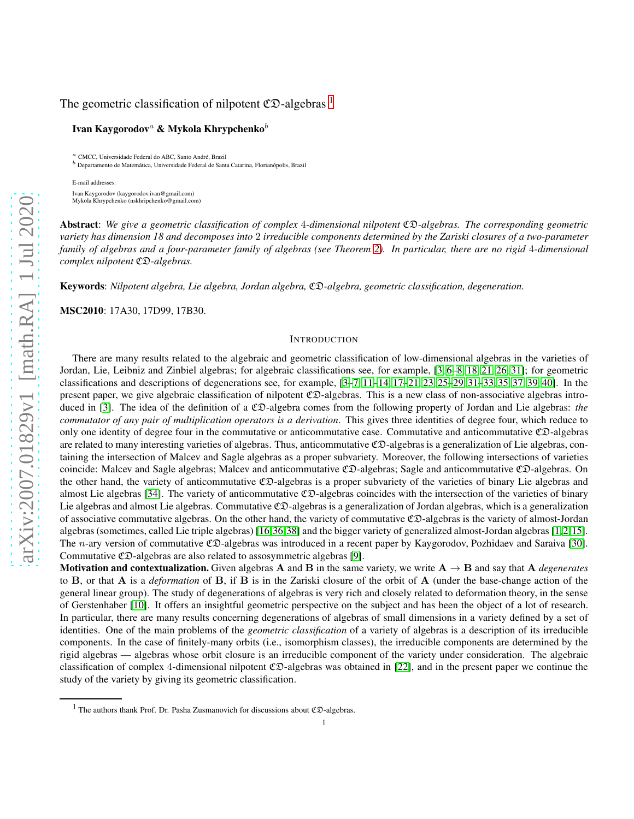# The geometric classification of nilpotent  $\mathfrak{CD}$ -algebras  $^1$  $^1$

## Ivan Kaygorodov<sup>a</sup> & Mykola Khrypchenko<sup>b</sup>

<sup>a</sup> CMCC, Universidade Federal do ABC, Santo André, Brazil  $\emph{b}$ Departamento de Matemática, Universidade Federal de Santa Catarina, Florianópolis, Brazil

E-mail addresses: Ivan Kaygorodov (kaygorodov.ivan@gmail.com) Mykola Khrypchenko (nskhripchenko@gmail.com)

Abstract: *We give a geometric classification of complex* 4*-dimensional nilpotent* CD*-algebras. The corresponding geometric variety has dimension 18 and decomposes into* 2 *irreducible components determined by the Zariski closures of a two-parameter family of algebras and a four-parameter family of algebras (see Theorem [2\)](#page-4-0). In particular, there are no rigid* 4*-dimensional complex nilpotent* CD*-algebras.*

Keywords: *Nilpotent algebra, Lie algebra, Jordan algebra,* CD*-algebra, geometric classification, degeneration.*

MSC2010: 17A30, 17D99, 17B30.

INTRODUCTION There are many results related to the algebraic and geometric classification of low-dimensional algebras in the varieties of Jordan, Lie, Leibniz and Zinbiel algebras; for algebraic classifications see, for example, [\[3,](#page-9-0) [6–](#page-9-1)[8,](#page-9-2) [18,](#page-10-0) [21,](#page-10-1) [26,](#page-10-2) [31\]](#page-10-3); for geometric classifications and descriptions of degenerations see, for example, [\[3](#page-9-0)[–7,](#page-9-3) [11](#page-9-4)[–14,](#page-9-5) [17–](#page-10-4)[21,](#page-10-1) [23,](#page-10-5) [25–](#page-10-6)[29,](#page-10-7) [31–](#page-10-3)[33,](#page-10-8) [35,](#page-10-9) [37,](#page-10-10) [39,](#page-10-11) [40\]](#page-10-12). In the present paper, we give algebraic classification of nilpotent CD-algebras. This is a new class of non-associative algebras introduced in [\[3\]](#page-9-0). The idea of the definition of a CD-algebra comes from the following property of Jordan and Lie algebras: *the commutator of any pair of multiplication operators is a derivation*. This gives three identities of degree four, which reduce to only one identity of degree four in the commutative or anticommutative case. Commutative and anticommutative CD-algebras are related to many interesting varieties of algebras. Thus, anticommutative CD-algebras is a generalization of Lie algebras, containing the intersection of Malcev and Sagle algebras as a proper subvariety. Moreover, the following intersections of varieties coincide: Malcev and Sagle algebras; Malcev and anticommutative  $\mathfrak{CD}$ -algebras; Sagle and anticommutative  $\mathfrak{CD}$ -algebras. On the other hand, the variety of anticommutative CD-algebras is a proper subvariety of the varieties of binary Lie algebras and almost Lie algebras [\[34\]](#page-10-13). The variety of anticommutative  $CD$ -algebras coincides with the intersection of the varieties of binary Lie algebras and almost Lie algebras. Commutative  $\mathfrak{CD}$ -algebras is a generalization of Jordan algebras, which is a generalization of associative commutative algebras. On the other hand, the variety of commutative  $\mathfrak{CD}$ -algebras is the variety of almost-Jordan algebras (sometimes, called Lie triple algebras) [\[16,](#page-9-6)[36,](#page-10-14)[38\]](#page-10-15) and the bigger variety of generalized almost-Jordan algebras [\[1,](#page-9-7)[2,](#page-9-8)[15\]](#page-9-9). The *n*-ary version of commutative  $\mathfrak{CD}$ -algebras was introduced in a recent paper by Kaygorodov, Pozhidaev and Saraiva [\[30\]](#page-10-16). Commutative CD-algebras are also related to assosymmetric algebras [\[9\]](#page-9-10).

Motivation and contextualization. Given algebras A and B in the same variety, we write  $A \rightarrow B$  and say that A *degenerates* to B, or that A is a *deformation* of B, if B is in the Zariski closure of the orbit of A (under the base-change action of the general linear group). The study of degenerations of algebras is very rich and closely related to deformation theory, in the sense of Gerstenhaber [\[10\]](#page-9-11). It offers an insightful geometric perspective on the subject and has been the object of a lot of research. In particular, there are many results concerning degenerations of algebras of small dimensions in a variety defined by a set of identities. One of the main problems of the *geometric classification* of a variety of algebras is a description of its irreducible components. In the case of finitely-many orbits (i.e., isomorphism classes), the irreducible components are determined by the rigid algebras — algebras whose orbit closure is an irreducible component of the variety under consideration. The algebraic classification of complex 4-dimensional nilpotent  $\mathfrak{CD}$ -algebras was obtained in [\[22\]](#page-10-17), and in the present paper we continue the study of the variety by giving its geometric classification.

<span id="page-0-0"></span><sup>&</sup>lt;sup>1</sup> The authors thank Prof. Dr. Pasha Zusmanovich for discussions about  $\mathfrak{CD}$ -algebras.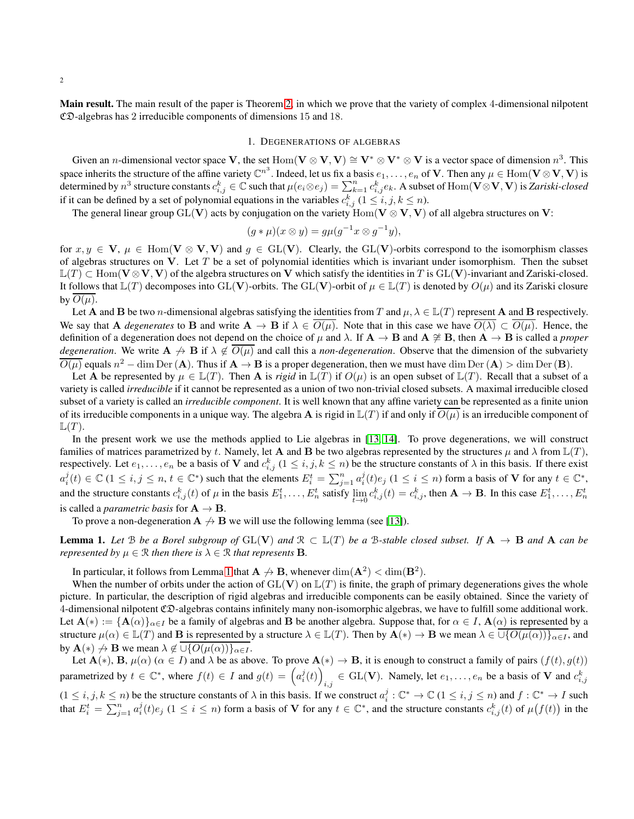Main result. The main result of the paper is Theorem [2,](#page-4-0) in which we prove that the variety of complex 4-dimensional nilpotent CD-algebras has 2 irreducible components of dimensions 15 and 18.

## 1. DEGENERATIONS OF ALGEBRAS

Given an *n*-dimensional vector space V, the set  $Hom(V \otimes V, V) \cong V^* \otimes V^* \otimes V$  is a vector space of dimension  $n^3$ . This space inherits the structure of the affine variety  $\mathbb{C}^{n^3}.$  Indeed, let us fix a basis  $e_1,\ldots,e_n$  of  ${\bf V}.$  Then any  $\mu\in{\rm Hom}({\bf V}\otimes {\bf V},{\bf V})$  is determined by  $n^3$  structure constants  $c_{i,j}^k \in \mathbb{C}$  such that  $\mu(e_i \otimes e_j) = \sum_{k=1}^n c_{i,j}^k e_k$ . A subset of  $\text{Hom}(\mathbf{V} \otimes \mathbf{V}, \mathbf{V})$  is *Zariski-closed* if it can be defined by a set of polynomial equations in the variables  $c_{i,j}^k$  ( $1 \le i, j, k \le n$ ).

The general linear group  $GL(V)$  acts by conjugation on the variety  $Hom(V \otimes V, V)$  of all algebra structures on V:

$$
(g * \mu)(x \otimes y) = g\mu(g^{-1}x \otimes g^{-1}y),
$$

for  $x, y \in V$ ,  $\mu \in \text{Hom}(V \otimes V, V)$  and  $g \in \text{GL}(V)$ . Clearly, the GL(V)-orbits correspond to the isomorphism classes of algebras structures on  $V$ . Let  $T$  be a set of polynomial identities which is invariant under isomorphism. Then the subset  $\mathbb{L}(T) \subset \text{Hom}(V \otimes V, V)$  of the algebra structures on V which satisfy the identities in T is  $\text{GL}(V)$ -invariant and Zariski-closed. It follows that  $\mathbb{L}(T)$  decomposes into GL(V)-orbits. The GL(V)-orbit of  $\mu \in \mathbb{L}(T)$  is denoted by  $O(\mu)$  and its Zariski closure by  $O(\mu)$ .

Let **A** and **B** be two *n*-dimensional algebras satisfying the identities from T and  $\mu$ ,  $\lambda \in L(T)$  represent **A** and **B** respectively. We say that A *degenerates* to B and write  $A \to B$  if  $\lambda \in \overline{O(\mu)}$ . Note that in this case we have  $\overline{O(\lambda)} \subset \overline{O(\mu)}$ . Hence, the definition of a degeneration does not depend on the choice of  $\mu$  and  $\lambda$ . If  $\mathbf{A} \to \mathbf{B}$  and  $\mathbf{A} \not\cong \mathbf{B}$ , then  $\mathbf{A} \to \mathbf{B}$  is called a *proper degeneration*. We write  $\mathbf{A} \nrightarrow \mathbf{B}$  if  $\lambda \notin \overline{O(\mu)}$  and call this a *non-degeneration*. Observe that the dimension of the subvariety  $\overline{O(\mu)}$  equals  $n^2 - \dim \mathrm{Der}({\bf A})$ . Thus if  ${\bf A} \to {\bf B}$  is a proper degeneration, then we must have  $\dim \mathrm{Der}({\bf A}) > \dim \mathrm{Der}({\bf B})$ .

Let A be represented by  $\mu \in \mathbb{L}(T)$ . Then A is *rigid* in  $\mathbb{L}(T)$  if  $O(\mu)$  is an open subset of  $\mathbb{L}(T)$ . Recall that a subset of a variety is called *irreducible* if it cannot be represented as a union of two non-trivial closed subsets. A maximal irreducible closed subset of a variety is called an *irreducible component*. It is well known that any affine variety can be represented as a finite union of its irreducible components in a unique way. The algebra **A** is rigid in  $\mathbb{L}(T)$  if and only if  $\overline{O(\mu)}$  is an irreducible component of  $\mathbb{L}(T)$ .

In the present work we use the methods applied to Lie algebras in [\[13,](#page-9-12) [14\]](#page-9-5). To prove degenerations, we will construct families of matrices parametrized by t. Namely, let A and B be two algebras represented by the structures  $\mu$  and  $\lambda$  from  $\mathbb{L}(T)$ , respectively. Let  $e_1, \ldots, e_n$  be a basis of V and  $c_{i,j}^k$   $(1 \le i, j, k \le n)$  be the structure constants of  $\lambda$  in this basis. If there exist  $a_i^j(t) \in \mathbb{C}$   $(1 \le i, j \le n, t \in \mathbb{C}^*)$  such that the elements  $E_i^t = \sum_{j=1}^n a_i^j(t)e_j$   $(1 \le i \le n)$  form a basis of **V** for any  $t \in \mathbb{C}^*$ , and the structure constants  $c_{i,j}^k(t)$  of  $\mu$  in the basis  $E_1^t, \ldots, E_n^t$  satisfy  $\lim_{t \to 0} c_{i,j}^k(t) = c_{i,j}^k$ , then  $\mathbf{A} \to \mathbf{B}$ . In this case  $E_1^t, \ldots, E_n^t$ is called a *parametric basis* for  $A \rightarrow B$ .

<span id="page-1-0"></span>To prove a non-degeneration  $A \nrightarrow B$  we will use the following lemma (see [\[13\]](#page-9-12)).

**Lemma 1.** Let  $\mathcal B$  be a Borel subgroup of  $GL(V)$  and  $\mathcal R \subset \mathbb L(T)$  be a B-stable closed subset. If  $\mathbf A \to \mathbf B$  and  $\mathbf A$  can be *represented by*  $\mu \in \mathcal{R}$  *then there is*  $\lambda \in \mathcal{R}$  *that represents* **B**.

In particular, it follows from Lemma [1](#page-1-0) that  $\mathbf{A} \not\rightarrow \mathbf{B}$ , whenever  $\dim(\mathbf{A}^2) < \dim(\mathbf{B}^2)$ .

When the number of orbits under the action of  $GL(V)$  on  $L(T)$  is finite, the graph of primary degenerations gives the whole picture. In particular, the description of rigid algebras and irreducible components can be easily obtained. Since the variety of 4-dimensional nilpotent CD-algebras contains infinitely many non-isomorphic algebras, we have to fulfill some additional work. Let  $\mathbf{A}(*) := {\mathbf{A}(\alpha)}_{\alpha \in I}$  be a family of algebras and B be another algebra. Suppose that, for  $\alpha \in I$ ,  $\mathbf{A}(\alpha)$  is represented by a structure  $\mu(\alpha) \in \mathbb{L}(T)$  and **B** is represented by a structure  $\lambda \in \mathbb{L}(T)$ . Then by  $\mathbf{A}(*) \to \mathbf{B}$  we mean  $\lambda \in \overline{\cup \{O(\mu(\alpha))\}_{\alpha \in I}}$ , and by  $\mathbf{A}(*) \nrightarrow \mathbf{B}$  we mean  $\lambda \notin \overline{\cup \{O(\mu(\alpha))\}_{\alpha \in I}}$ .

Let  $\mathbf{A}(*), \mathbf{B}, \mu(\alpha)$  ( $\alpha \in I$ ) and  $\lambda$  be as above. To prove  $\mathbf{A}(*) \to \mathbf{B}$ , it is enough to construct a family of pairs  $(f(t), g(t))$ parametrized by  $t \in \mathbb{C}^*$ , where  $f(t) \in I$  and  $g(t) = \left( a_i^j(t) \right)$  $i,j \in GL(V)$ . Namely, let  $e_1, \ldots, e_n$  be a basis of V and  $c_{i,j}^k$  $(1 \le i, j, k \le n)$  be the structure constants of  $\lambda$  in this basis. If we construct  $a_i^j : \mathbb{C}^* \to \mathbb{C}$   $(1 \le i, j \le n)$  and  $f : \mathbb{C}^* \to I$  such

that  $E_i^t = \sum_{j=1}^n a_i^j(t)e_j$   $(1 \le i \le n)$  form a basis of V for any  $t \in \mathbb{C}^*$ , and the structure constants  $c_{i,j}^k(t)$  of  $\mu(f(t))$  in the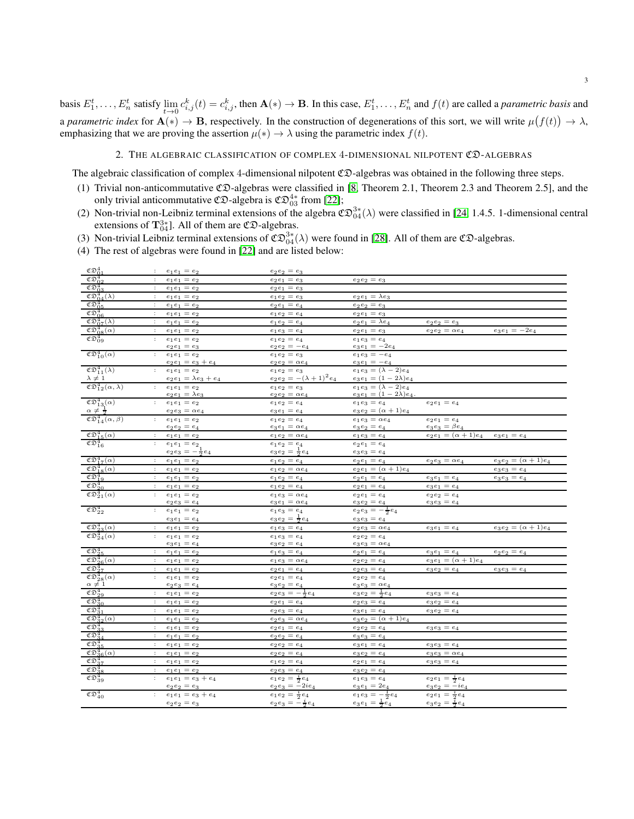basis  $E_1^t, \ldots, E_n^t$  satisfy  $\lim_{t \to 0} c_{i,j}^k(t) = c_{i,j}^k$ , then  $\mathbf{A}(*) \to \mathbf{B}$ . In this case,  $E_1^t, \ldots, E_n^t$  and  $f(t)$  are called a *parametric basis* and a *parametric index* for  $\mathbf{A}(*) \to \mathbf{B}$ , respectively. In the construction of degenerations of this sort, we will write  $\mu(f(t)) \to \lambda$ , emphasizing that we are proving the assertion  $\mu(*) \to \lambda$  using the parametric index  $f(t)$ .

# 2. THE ALGEBRAIC CLASSIFICATION OF COMPLEX 4-DIMENSIONAL NILPOTENT  $\mathfrak{CD}$ -ALGEBRAS

The algebraic classification of complex 4-dimensional nilpotent CD-algebras was obtained in the following three steps.

- (1) Trivial non-anticommutative  $\mathfrak{CD}$ -algebras were classified in [\[8,](#page-9-2) Theorem 2.1, Theorem 2.3 and Theorem 2.5], and the only trivial anticommutative  $\mathfrak{CD}$ -algebra is  $\mathfrak{CD}_{03}^{4*}$  from [\[22\]](#page-10-17);
- (2) Non-trivial non-Leibniz terminal extensions of the algebra  $\mathfrak{CD}_{04}^{3*}(\lambda)$  were classified in [\[24,](#page-10-18) 1.4.5. 1-dimensional central extensions of  $\mathbf{T}_{04}^{3*}$ ]. All of them are  $\mathfrak{CD}$ -algebras.
- (3) Non-trivial Leibniz terminal extensions of  $\mathfrak{CO}_{04}^{3*}(\lambda)$  were found in [\[28\]](#page-10-19). All of them are  $\mathfrak{CD}$ -algebras.
- (4) The rest of algebras were found in [\[22\]](#page-10-17) and are listed below:

| $\mathfrak{CD}^4_{01}$                    | ÷                                 | $e_1e_1 = e_2$                   | $e_2e_2=e_3$                            |                                                            |                            |                            |
|-------------------------------------------|-----------------------------------|----------------------------------|-----------------------------------------|------------------------------------------------------------|----------------------------|----------------------------|
| $\mathfrak{CD}^4_{02}$                    | $\cdot$                           | $e_1e_1 = e_2$                   | $e_2e_1 = e_3$                          | $e_2e_2 = e_3$                                             |                            |                            |
| $\mathfrak{CD}^4_{03}$                    | т.                                | $e_1e_1 = e_2$                   | $e_2e_1 = e_3$                          |                                                            |                            |                            |
| $\mathfrak{CD}^4_{04}(\lambda)$           | ÷                                 | $e_1e_1 = e_2$                   | $e_1e_2 = e_3$                          | $e_2e_1 = \lambda e_3$                                     |                            |                            |
| $\mathfrak{CD}_{05}^4$                    | $\ddot{\phantom{a}}$              | $e_1e_1 = e_2$                   | $e_2e_1 = e_4$                          | $e_2e_2 = e_3$                                             |                            |                            |
| $\mathfrak{CD}_{06}^4$                    | $\ddot{\cdot}$                    | $e_1e_1 = e_2$                   | $e_1e_2 = e_4$                          | $e_2e_1 = e_3$                                             |                            |                            |
| $\mathfrak{CD}_{07}^4(\lambda)$           | $\colon$                          | $e_1e_1 = e_2$                   | $e_1e_2 = e_4$                          | $e_2e_1 = \lambda e_4$                                     | $e_2e_2=e_3$               |                            |
| $\mathfrak{CD}^4_{08}(\alpha)$            | ÷                                 | $e_1e_1 = e_2$                   | $e_1e_3 = e_4$                          | $e_2e_1 = e_3$                                             | $e_2e_2 = \alpha e_4$      | $e_3e_1 = -2e_4$           |
| $\mathfrak{CD}_{09}^4$                    | ÷                                 | $e_1e_1 = e_2$                   | $e_1e_2 = e_4$                          | $e_1e_3 = e_4$                                             |                            |                            |
|                                           |                                   | $e_2e_1 = e_3$                   | $e_2e_2 = -e_4$                         | $e_3e_1 = -2e_4$                                           |                            |                            |
| $\mathfrak{CD}_{10}^4(\alpha)$            | ÷                                 | $e_1e_1 = e_2$                   | $e_1e_2 = e_3$                          | $e_1e_3 = -e_4$                                            |                            |                            |
|                                           |                                   | $e_2e_1 = e_3 + e_4$             | $e_2e_2 = \alpha e_4$                   | $e_3e_1 = -e_4$                                            |                            |                            |
| $\mathfrak{CD}^4_{11}(\lambda)$           | $\mathcal{L}$                     | $e_1e_1 = e_2$                   | $e_1e_2 = e_3$                          | $e_1e_3 = (\lambda - 2)e_4$                                |                            |                            |
| $\lambda \neq 1$                          |                                   | $e_2e_1 = \lambda e_3 + e_4$     | $e_2e_2 = -(\lambda + 1)^2 e_4$         | $e_3e_1 = (1 - 2\lambda)e_4$                               |                            |                            |
| $\mathfrak{CD}_{12}^4(\alpha,\lambda)$    |                                   | $e_1e_1 = e_2$                   | $e_1e_2 = e_3$                          | $e_1e_3 = (\lambda - 2)e_4$<br>$e_3e_1 = (1-2\lambda)e_4.$ |                            |                            |
| $\mathfrak{C}\mathfrak{D}^4_{13}(\alpha)$ |                                   | $e_2e_1 = \lambda e_3$           | $e_2e_2 = \alpha e_4$                   |                                                            |                            |                            |
| $\alpha \neq \frac{1}{2}$                 |                                   | $e_1e_1 = e_2$                   | $e_1e_2 = e_4$<br>$e_3e_1 = e_4$        | $e_1e_3 = e_4$<br>$e_3e_2 = (\alpha + 1)e_4$               | $e_2e_1 = e_4$             |                            |
| $\mathfrak{CD}^4_{14}(\alpha,\beta)$      |                                   | $e_2e_3 = \alpha e_4$            |                                         |                                                            | $e_2e_1 = e_4$             |                            |
|                                           |                                   | $e_1e_1 = e_2$<br>$e_2e_2 = e_4$ | $e_1e_2 = e_4$<br>$e_3e_1 = \alpha e_4$ | $e_1e_3 = \alpha e_4$<br>$e_3e_2=e_4$                      | $e_3e_3=\beta e_4$         |                            |
| $\mathfrak{CD}^4_{15}(\alpha)$            | $\mathcal{X} \subset \mathcal{X}$ | $e_1e_1 = e_2$                   | $e_1e_2 = \alpha e_4$                   | $e_1e_3 = e_4$                                             | $e_2e_1 = (\alpha + 1)e_4$ | $e_3e_1 = e_4$             |
| $\mathfrak{CD}_{16}^4$                    |                                   | $e_1e_1 = e_2$                   | $e_1e_2=e_4$                            | $e_2e_1 = e_4$                                             |                            |                            |
|                                           |                                   | $e_2e_3=-\frac{1}{2}e_4$         | $e_3e_2=\frac{1}{2}e_4$                 | $e_3e_3 = e_4$                                             |                            |                            |
| $\mathfrak{CD}_{17}^4(\alpha)$            | ÷                                 | $e_1e_1 = e_2$                   | $e_1e_2=e_4$                            | $e_2e_1 = e_4$                                             | $e_2e_3 = \alpha e_4$      | $e_3e_2 = (\alpha + 1)e_4$ |
| $\mathfrak{CD}_{18}^4(\alpha)$            | ÷                                 | $e_1e_1 = e_2$                   | $e_1e_2=\alpha e_4$                     | $e_2e_1 = (\alpha + 1)e_4$                                 |                            | $e_3e_3 = e_4$             |
| $\mathfrak{CD}^4_{19}$                    | $\sim$                            | $e_1e_1 = e_2$                   | $e_1\,e_2\,=\,e_4$                      | $e_2e_1 = e_4$                                             | $e_3e_1 = e_4$             | $e_3e_3=e_4$               |
| $\mathfrak{CD}_{20}^4$                    | ÷                                 | $e_1e_1 = e_2$                   | $e_1e_2 = e_4$                          | $e_2e_1 = e_4$                                             | $e_3e_1 = e_4$             |                            |
| $\mathfrak{CD}^4_{21}(\alpha)$            |                                   | $e_1e_1 = e_2$                   | $e_1e_3 = \alpha e_4$                   | $e_2e_1 = e_4$                                             | $e_2e_2 = e_4$             |                            |
|                                           |                                   | $e_2e_3 = e_4$                   | $e_3e_1 = \alpha e_4$                   | $e_3e_2 = e_4$                                             | $e_3e_3 = e_4$             |                            |
| $\mathfrak{CD}_{22}^4$                    |                                   | $e_1e_1 = e_2$                   | $e_1e_3 = e_4$                          | $e_2e_3=-\frac{1}{2}e_4$                                   |                            |                            |
|                                           |                                   | $e_3e_1 = e_4$                   | $e_3e_2=\frac{1}{2}e_4$                 | $e_3e_3 = e_4$                                             |                            |                            |
| $\mathfrak{CD}_{23}^4(\alpha)$            | ÷                                 | $e_1e_1 = e_2$                   | $e_1e_3 = e_4$                          | $e_2e_3 = \alpha e_4$                                      | $e_3e_1 = e_4$             | $e_3e_2 = (\alpha + 1)e_4$ |
| $\mathfrak{CD}^4_{24}(\alpha)$            |                                   | $e_1e_1 = e_2$                   | $e_1e_3 = e_4$                          | $e_2e_2 = e_4$                                             |                            |                            |
|                                           |                                   | $e_3e_1 = e_4$                   | $e_3e_2 = e_4$                          | $e_3e_3 = \alpha e_4$                                      |                            |                            |
| $\mathfrak{CD}_{25}^4$                    | ÷                                 | $e_1e_1 = e_2$                   | $e_1e_3 = e_4$                          | $e_2e_1 = e_4$                                             | $e_3e_1 = e_4$             | $e_2e_2=e_4$               |
| $\mathfrak{CD}_{26}^4(\alpha)$            | $\pm$                             | $e_1e_1 = e_2$                   | $e_1e_3 = \alpha e_4$                   | $e_2e_2=e_4$                                               | $e_3e_1 = (\alpha + 1)e_4$ |                            |
| $\mathfrak{CD}_{27}^4$                    | ÷                                 | $e_1e_1 = e_2$                   | $e_2e_1 = e_4$                          | $e_2e_3 = e_4$                                             | $e_3e_2 = e_4$             | $e_3e_3 = e_4$             |
| $\mathfrak{CD}_{28}^4(\alpha)$            |                                   | $e_1e_1 = e_2$                   | $e_2e_1 = e_4$                          | $e_2e_2=e_4$                                               |                            |                            |
| $\alpha \neq 1$                           |                                   | $e_2e_3 = e_4$                   | $e_3e_2 = e_4$                          | $e_3e_3 = \alpha e_4$                                      |                            |                            |
| $\mathfrak{CD}_{29}^4$                    | ÷.                                | $e_1e_1 = e_2$                   | $e_2e_3=-\frac{1}{2}e_4$                | $e_3e_2=\frac{1}{2}e_4$                                    | $e_3e_3 = e_4$             |                            |
| $\mathfrak{CD}^4_{30}$                    | ÷                                 | $e_1e_1 = e_2$                   | $e_2e_1 = e_4$                          | $e_2e_3=e_4$                                               | $e_3e_2 = e_4$             |                            |
| $\mathfrak{CD}^4_{31}$                    | ÷                                 | $e_1e_1 = e_2$                   | $e_2e_3 = e_4$                          | $e_3e_1 = e_4$                                             | $e_3e_2 = e_4$             |                            |
| $\mathfrak{CD}_{32}^4(\alpha)$            | $\mathcal{I}^{\mathcal{I}}$       | $e_1e_1 = e_2$                   | $e_2e_3 = \alpha e_4$                   | $e_3e_2 = (\alpha + 1)e_4$                                 |                            |                            |
| $\mathfrak{CD}_{33}^4$                    | ÷                                 | $e_1e_1 = e_2$                   | $e_2e_1 = e_4$                          | $e_2e_2 = e_4$                                             | $e_3e_3 = e_4$             |                            |
| $\mathfrak{CD}_{24}^4$                    | ÷                                 | $e_1e_1 = e_2$                   | $e_2e_2 = e_4$                          | $e_3e_3 = e_4$                                             |                            |                            |
| $\mathfrak{CD}_{35}^4$                    | ÷                                 | $e_1e_1 = e_2$                   | $e_2e_2=e_4$                            | $e_3e_1=e_4$                                               | $e_3e_3 = e_4$             |                            |
| $\mathfrak{CD}_{36}^4(\alpha)$            | ÷                                 | $e_1e_1 = e_2$                   | $e_2e_2 = e_4$                          | $e_3e_2 = e_4$                                             | $e_3e_3 = \alpha e_4$      |                            |
| $\mathfrak{CD}_{37}^4$                    | ÷                                 | $e_1e_1 = e_2$                   | $e_1e_2 = e_4$                          | $e_2e_1 = e_4$                                             | $e_3e_3 = e_4$             |                            |
| $\mathfrak{CD}^4_{38}$                    | ÷                                 | $e_1e_1 = e_2$                   | $e_2e_3 = e_4$                          | $e_3e_2 = e_4$                                             |                            |                            |
| $\mathfrak{CD}_{39}^4$                    |                                   | $e_1e_1 = e_3 + e_4$             | $e_1e_2 = \frac{i}{2}e_4$               | $e_1e_3 = e_4$                                             | $e_2e_1 = \frac{i}{2}e_4$  |                            |
| $\mathfrak{CD}_{40}^4$                    | $\mathbb{R}^{\mathbb{Z}}$         | $e_2e_2=e_3$                     | $e_2e_3 = -2ie_4$                       | $e_3e_1 = 2e_4$<br>$e_1e_3=-\frac{1}{2}e_4$                | $e_3e_2 = -ie_4$           |                            |
|                                           |                                   | $e_1e_1 = e_3 + e_4$             | $e_1e_2 = \frac{i}{2}e_4$               |                                                            | $e_2e_1 = \frac{i}{2}e_4$  |                            |
|                                           |                                   | $e_2e_2 = e_3$                   | $e_2e_3=-\frac{i}{2}e_4$                | $e_3e_1=\frac{1}{2}e_4$                                    | $e_3e_2=\frac{i}{2}e_4$    |                            |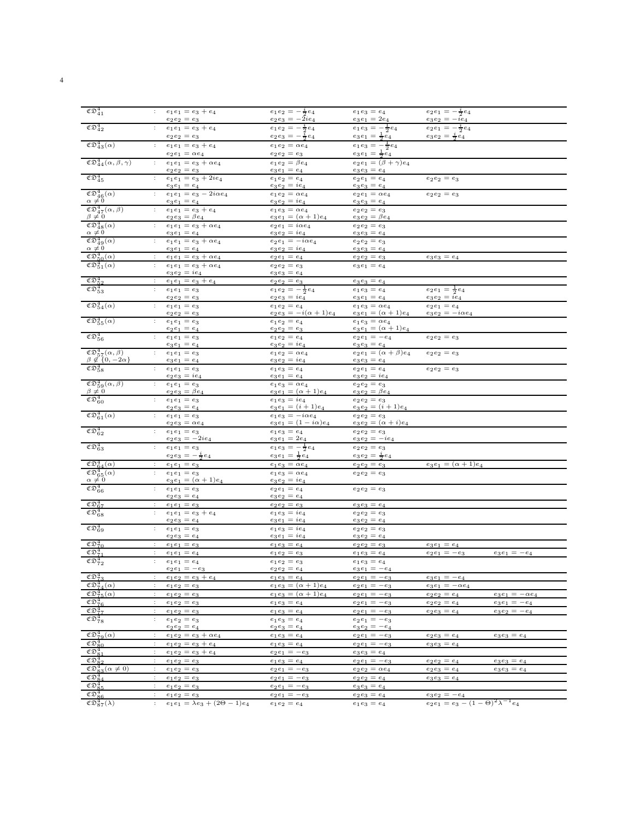| $\mathfrak{CD}^4_{41}$                      | : $e_1e_1 = e_3 + e_4$                               | $e_1e_2=-\frac{i}{2}e_4$        | $e_1e_3 = e_4$                 | $e_2e_1 = -\frac{i}{2}e_4$                       |                        |
|---------------------------------------------|------------------------------------------------------|---------------------------------|--------------------------------|--------------------------------------------------|------------------------|
|                                             | $e_2e_2=e_3$                                         | $e_2e_3 = -2ie_4$               | $e_3e_1=2e_4$                  | $e_3e_2 = -ie_4$                                 |                        |
| $\mathfrak{CD}^4_{42}$                      | $e_1e_1 = e_3 + e_4$                                 | $e_1e_2=-\frac{i}{2}e_4$        | $e_1e_3=-\frac{1}{2}e_4$       | $e_2e_1 = -\frac{i}{2}e_4$                       |                        |
|                                             |                                                      |                                 | $e_3e_1=\frac{1}{2}e_4$        |                                                  |                        |
|                                             | $e_2e_2 = e_3$                                       | $e_2e_3=-\frac{i}{2}e_4$        |                                | $e_3e_2 = \frac{i}{2}e_4$                        |                        |
| $\mathfrak{CD}_{43}^4(\alpha)$              | $e_1e_1 = e_3 + e_4$                                 | $e_1e_2 = \alpha e_4$           | $e_1e_3=-\frac{1}{2}e_4$       |                                                  |                        |
|                                             | $e_2e_1 = \alpha e_4$                                | $e_2e_2 = e_3$                  | $e_3e_1=\frac{1}{2}e_4$        |                                                  |                        |
| $\mathfrak{CD}^4_{44}(\alpha,\beta,\gamma)$ | $e_1e_1 = e_3 + \alpha e_4$                          | $e_1e_2 = \beta e_4$            | $e_2e_1 = (\beta + \gamma)e_4$ |                                                  |                        |
|                                             |                                                      |                                 |                                |                                                  |                        |
|                                             | $e_2e_2 = e_3$                                       | $e_3e_1 = e_4$                  | $e_3e_3 = e_4$                 |                                                  |                        |
| $\mathfrak{CD}^4_{45}$                      | $e_1e_1=e_3+2ie_4$                                   | $e_1e_2 = e_4$                  | $e_2e_1 = e_4$                 | $e_2e_2 = e_3$                                   |                        |
|                                             | $e_3e_1 = e_4$                                       | $e_3e_2 = ie_4$                 | $e_3e_3 = e_4$                 |                                                  |                        |
| $\mathfrak{CD}_{46}^4(\alpha)$              | $e_1e_1 = e_3 - 2i\alpha e_4$                        | $e_1e_2 = \alpha e_4$           | $e_2e_1 = \alpha e_4$          | $e_2e_2 = e_3$                                   |                        |
| $\alpha \neq 0$                             | $e_3e_1 = e_4$                                       | $e_3e_2 = ie_4$                 | $e_3e_3 = e_4$                 |                                                  |                        |
| $\mathfrak{CD}^4_{47}(\alpha,\beta)$        | $e_1e_1 = e_3 + e_4$                                 | $e_1e_3 = \alpha e_4$           | $e_2e_2 = e_3$                 |                                                  |                        |
| $\beta \neq 0$                              | $e_2e_3 = \beta e_4$                                 | $e_3e_1 = (\alpha + 1)e_4$      | $e_3e_2=\beta e_4$             |                                                  |                        |
|                                             |                                                      |                                 |                                |                                                  |                        |
| $\mathfrak{CD}_{48}^4(\alpha)$              | $e_1e_1 = e_3 + \alpha e_4$                          | $e_2e_1 = i\alpha e_4$          | $e_2e_2 = e_3$                 |                                                  |                        |
| $\alpha \neq 0$                             | $e_3e_1 = e_4$                                       | $e_3e_2 = ie_4$                 | $e_3e_3 = e_4$                 |                                                  |                        |
| $\mathfrak{CD}_{49}^4(\alpha)$              | $e_1e_1 = e_3 + \alpha e_4$                          | $e_2e_1 = -i\alpha e_4$         | $e_2e_2 = e_3$                 |                                                  |                        |
| $\alpha \neq 0$                             | $e_3e_1 = e_4$                                       | $e_3e_2 = ie_4$                 | $e_3e_3 = e_4$                 |                                                  |                        |
| $\mathfrak{CD}_{50}^4(\alpha)$              | $e_1e_1 = e_3 + \alpha e_4$                          | $e_2e_1 = e_4$                  | $e_2e_2=e_3$                   | $e_3e_3 = e_4$                                   |                        |
| $\mathfrak{CD}_{51}^4(\alpha)$              | $e_1e_1 = e_3 + \alpha e_4$                          | $e_2e_2=e_3$                    | $e_3e_1=e_4$                   |                                                  |                        |
|                                             |                                                      |                                 |                                |                                                  |                        |
|                                             | $e_3e_2 = ie_4$                                      | $e_3e_3 = e_4$                  |                                |                                                  |                        |
| $CD4$ .                                     | $e_1e_1 = e_3 + e_4$                                 | $e_2e_2=e_3$                    | $e_3e_3=e_4$                   |                                                  |                        |
| $\mathfrak{CD}_{53}^4$                      | $e_1e_1 = e_3$                                       | $e_1e_2=-\frac{1}{2}e_4$        | $e_1e_3 = e_4$                 | $e_2e_1 = \frac{1}{2}e_4$                        |                        |
|                                             | $e_2e_2 = e_3$                                       | $e_2e_3 = ie_4$                 | $e_3e_1 = e_4$                 | $e_3e_2 = ie_4$                                  |                        |
| $\mathfrak{CD}_{54}^4(\alpha)$              | $e_1e_1 = e_3$                                       | $e_1e_2 = e_4$                  | $e_1e_3 = \alpha e_4$          | $e_2e_1 = e_4$                                   |                        |
|                                             | $e_2e_2=e_3$                                         | $e_2e_3 = -i(\alpha + 1)e_4$    | $e_3e_1 = (\alpha + 1)e_4$     | $e_3e_2 = -i\alpha e_4$                          |                        |
| $\mathfrak{CD}_{55}^4(\alpha)$              |                                                      |                                 |                                |                                                  |                        |
|                                             | $e_1e_1 = e_3$                                       | $e_1e_2 = e_4$                  | $e_1e_3 = \alpha e_4$          |                                                  |                        |
|                                             | $e_2e_1 = e_4$                                       | $e_2e_2=e_3$                    | $e_3e_1 = (\alpha + 1)e_4$     |                                                  |                        |
| $\mathfrak{CD}_{56}^4$                      | $e_1e_1 = e_3$                                       | $e_1e_2 = e_4$                  | $e_2e_1 = -e_4$                | $e_2e_2=e_3$                                     |                        |
|                                             | $e_3e_1 = e_4$                                       | $e_3e_2 = ie_4$                 | $e_3e_3 = e_4$                 |                                                  |                        |
| $\mathfrak{CD}_{57}^4(\alpha,\beta)$        | $e_1e_1 = e_3$                                       | $e_1e_2 = \alpha e_4$           | $e_2e_1 = (\alpha + \beta)e_4$ | $e_2e_2=e_3$                                     |                        |
| $\beta \notin \{0, -2\alpha\}$              | $e_3e_1 = e_4$                                       | $e_3e_2 = ie_4$                 | $e_3e_3 = e_4$                 |                                                  |                        |
| $\mathfrak{CD}_{58}^4$                      | $e_1e_1 = e_3$                                       | $e_1e_3 = e_4$                  | $e_2e_1 = e_4$                 | $e_2e_2 = e_3$                                   |                        |
|                                             | $e_2e_3 = ie_4$                                      |                                 | $e_3e_2 = ie_4$                |                                                  |                        |
|                                             |                                                      | $e_3e_1 = e_4$                  |                                |                                                  |                        |
| $\mathfrak{CD}_{59}^4(\alpha,\beta)$        | $e_1e_1 = e_3$                                       | $e_1e_3 = \alpha e_4$           | $e_2e_2 = e_3$                 |                                                  |                        |
| $\beta \neq 0$                              | $e_2e_3 = \beta e_4$                                 | $e_3e_1 = (\alpha + 1)e_4$      | $e_3e_2=\beta e_4$             |                                                  |                        |
| $\mathfrak{CD}^4_{60}$                      | $e_1e_1 = e_3$                                       | $e_1e_3 = ie_4$                 | $e_2e_2 = e_3$                 |                                                  |                        |
|                                             | $e_2e_3 = e_4$                                       | $e_3e_1 = (i+1)e_4$             | $e_3e_2 = (i+1)e_4$            |                                                  |                        |
| $\mathfrak{CD}_{61}^4(\alpha)$              | $e_1e_1 = e_3$<br>$\ddot{\phantom{a}}$               | $e_1e_3=-i\alpha\overline{e_4}$ | $e_2e_2 = e_3$                 |                                                  |                        |
|                                             | $e_2e_3 = \alpha e_4$                                | $e_3e_1 = (1 - i\alpha)e_4$     | $e_3e_2 = (\alpha + i)e_4$     |                                                  |                        |
| $\mathfrak{CD}^4_{62}$                      | $\mathbb{C}^{\mathbb{C}^{\times}}$<br>$e_1e_1 = e_3$ | $e_1e_3 = e_4$                  | $e_2e_2 = e_3$                 |                                                  |                        |
|                                             | $e_2e_3 = -2ie_4$                                    | $e_3e_1=2e_4$                   | $e_3e_2 = -ie_4$               |                                                  |                        |
|                                             |                                                      |                                 |                                |                                                  |                        |
| $\mathfrak{CD}^4_{63}$                      | $e_1e_1 = e_3$                                       | $e_1e_3=-\frac{1}{2}e_4$        | $e_2e_2 = e_3$                 |                                                  |                        |
|                                             | $e_2e_3=-\frac{i}{2}e_4$                             | $e_3e_1=\frac{1}{2}e_4$         | $e_3e_2=\frac{i}{2}e_4$        |                                                  |                        |
| $\mathfrak{CD}^4_{64}(\alpha)$              | $e_1e_1 = e_3$                                       | $e_1e_3 = \alpha e_4$           | $e_2e_2 = e_3$                 | $e_3e_1 = (\alpha + 1)e_4$                       |                        |
| $\mathfrak{CD}_{65}^4(\alpha)$              | $e_1e_1 = e_3$                                       | $e_1e_3 = \alpha e_4$           | $e_2e_2 = e_3$                 |                                                  |                        |
| $\alpha \neq 0$                             | $e_3e_1 = (\alpha + 1)e_4$                           | $e_3e_2=ie_4$                   |                                |                                                  |                        |
|                                             |                                                      |                                 |                                |                                                  |                        |
| $\mathfrak{CD}^4_{66}$                      | $\ddot{\phantom{a}}$<br>$e_1e_1 = e_3$               | $e_2e_1 = e_4$                  | $e_2e_2=e_3$                   |                                                  |                        |
|                                             | $e_2e_3 = e_4$                                       | $e_3e_2 = e_4$                  |                                |                                                  |                        |
| $\mathfrak{CD}_6^4$                         | $e_1e_1 = e_3$                                       | $e_2e_2=e_3$                    | $e_3e_3 = e_4$                 |                                                  |                        |
| $\mathfrak{CD}^4_{68}$                      | $e_1e_1 = e_3 + e_4$                                 | $e_1e_3 = ie_4$                 | $e_2e_2 = e_3$                 |                                                  |                        |
|                                             | $e_2e_3 = e_4$                                       | $e_3e_1 = ie_4$                 | $e_3e_2 = e_4$                 |                                                  |                        |
| $\mathfrak{CD}^4_{69}$                      | $\mathbb{Z}^{\mathbb{Z}}$<br>$e_1e_1 = e_3$          | $e_1e_3 = ie_4$                 | $e_2e_2 = e_3$                 |                                                  |                        |
|                                             | $e_2e_3 = e_4$                                       | $e_3e_1 = ie_4$                 | $e_3e_2 = e_4$                 |                                                  |                        |
| $\mathfrak{CD}_{70}^4$                      | $\ddot{\phantom{a}}$<br>$e_1e_1=e_3$                 | $e_1e_3 = e_4$                  | $e_2e_2=e_3$                   | $e_3e_1 = e_4$                                   |                        |
|                                             |                                                      |                                 |                                |                                                  |                        |
| $\overline{\mathfrak{CD}}_{71}^4$           | $e_1e_1 = e_4$                                       | $e_1e_2=e_3$                    | $e_1e_3 = e_4$                 | $e_2e_1 = -e_3$                                  | $e_3e_1 = -e_4$        |
| $\mathfrak{CD}_{72}^4$                      | $e_1e_1 = e_4$                                       | $e_1e_2 = e_3$                  | $e_1e_3 = e_4$                 |                                                  |                        |
|                                             | $e_2e_1 = -e_2$                                      | $e_2e_2 = e_4$                  | $e_3e_1 = -e_4$                |                                                  |                        |
| $\mathfrak{CD}_{79}^4$                      | $e_1e_2 = e_3 + e_4$<br>$\ddot{\phantom{a}}$         | $e_1e_3=e_4$                    | $e_2e_1 = -e_3$                | $e_3e_1 = -e_4$                                  |                        |
| $\mathfrak{CD}_{74}^4(\alpha)$              | $e_1e_2 = e_3$                                       | $e_1e_3 = (\alpha + 1)e_4$      | $e_2e_1 = -e_3$                | $e_3e_1 = -\alpha e_4$                           |                        |
| $\mathfrak{CD}_{75}^4(\alpha)$              | $\ddot{\phantom{a}}$                                 | $e_1e_3 = (\alpha + 1)e_4$      | $e_2e_1 = -e_3$                | $e_2e_2 = e_4$                                   | $e_3e_1 = -\alpha e_4$ |
|                                             | $e_1e_2 = e_3$                                       |                                 |                                |                                                  |                        |
| $\mathfrak{CD}_{76}^4$                      | $e_1e_2 = e_3$                                       | $e_1e_3 = e_4$                  | $e_2e_1 = -e_3$                | $e_2e_2 = e_4$                                   | $e_3e_1 = -e_4$        |
| $\mathfrak{CD}_{77}^4$                      | $e_1e_2 = e_3$<br>$\ddot{\phantom{a}}$               | $e_1e_3 = e_4$                  | $e_2e_1 = -e_3$                | $e_2e_3 = e_4$                                   | $e_3e_2 = -e_4$        |
| $\mathfrak{CD}_{78}^4$                      | $e_1e_2 = e_3$                                       | $e_1 e_3 = e_4$                 | $e_2e_1 = -e_3$                |                                                  |                        |
|                                             | $e_2e_2=e_4$                                         | $e_2e_3=e_4$                    | $e_3e_2 = -e_4$                |                                                  |                        |
| $\mathfrak{CD}_{79}^4(\alpha)$              | $e_1e_2 = e_3 + \alpha e_4$                          |                                 | $e_2e_1 = -e_3$                |                                                  |                        |
|                                             |                                                      | $e_1e_3 = e_4$                  |                                | $e_2e_3 = e_4$                                   | $e_3e_3=e_4$           |
| $\mathfrak{CD}^4_{80}$                      | $\ddot{\phantom{a}}$<br>$e_1e_2 = e_3 + e_4$         | $e_1e_3 = e_4$                  | $e_2e_1 = -e_3$                | $e_3e_3 = e_4$                                   |                        |
| $\mathfrak{CD}^4_{81}$                      | $e_1e_2 = e_3 + e_4$                                 | $e_2e_1 = -e_3$                 | $e_3e_3=e_4$                   |                                                  |                        |
| $\mathfrak{CD}_{82}^4$                      | $\ddot{\phantom{a}}$<br>$e_1e_2 = e_3$               | $e_1e_3 = e_4$                  | $e_2e_1 = -e_3$                | $e_2e_2 = e_4$                                   | $e_3e_3 = e_4$         |
| $\mathfrak{CD}_{83}^4(\alpha \neq 0)$       | $e_1e_2 = e_3$                                       | $e_2e_1 = -e_3$                 | $e_2e_2 = \alpha e_4$          | $e_2e_3 = e_4$                                   |                        |
|                                             |                                                      |                                 |                                |                                                  | $e_3e_3=e_4$           |
| $\mathfrak{CD}_8^4$                         | $\ddot{\phantom{a}}$<br>$e_1e_2 = e_3$               | $e_2e_1 = -e_3$                 | $e_2e_2 = e_4$                 | $e_3e_3=e_4$                                     |                        |
| $\mathfrak{CD}_{85}^4$                      | $\ddot{\phantom{a}}$<br>$e_1e_2 = e_3$               | $e_2e_1 = -e_3$                 | $e_3e_3 = e_4$                 |                                                  |                        |
| $\mathfrak{CD}_{86}^4$                      | $e_1e_2 = e_3$                                       | $e_2e_1 = -e_3$                 | $e_2e_3 = e_4$                 | $e_3e_2 = -e_4$                                  |                        |
| $\mathfrak{CD}_{87}^4(\lambda)$             | $e_1e_1 = \lambda e_3 + (2\Theta - 1)e_4$            | $e_1e_2 = e_4$                  | $e_1e_3 = e_4$                 | $e_2e_1 = e_3 - (1 - \Theta)^2 \lambda^{-1} e_4$ |                        |
|                                             |                                                      |                                 |                                |                                                  |                        |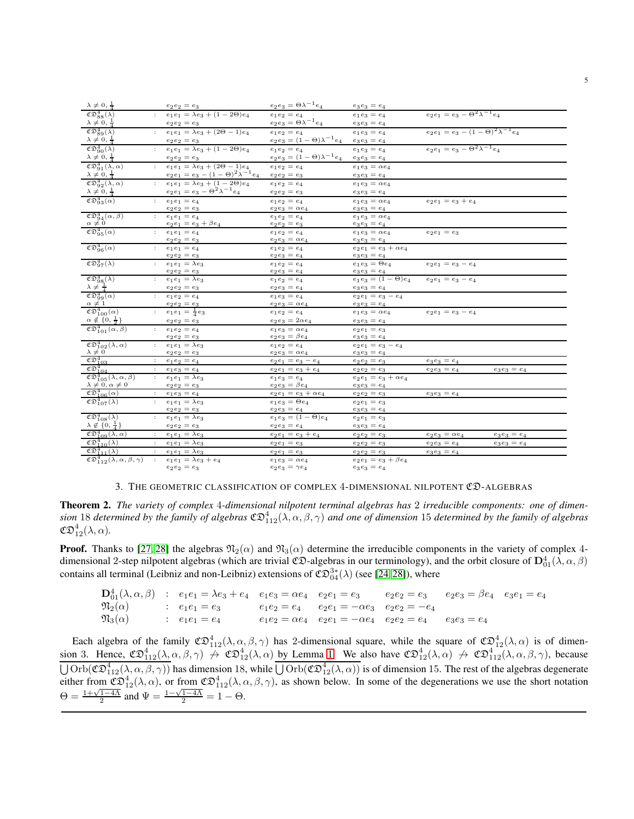| $\lambda \neq 0, \frac{1}{4}$                                            |                     | $e_2e_2 = e_3$                                   | $e_2e_3 = \Theta\lambda^{-1}e_4$               | $e_3e_3 = e_4$                               |                                                         |                |
|--------------------------------------------------------------------------|---------------------|--------------------------------------------------|------------------------------------------------|----------------------------------------------|---------------------------------------------------------|----------------|
| $\mathfrak{CD}_{88}^4(\lambda)$                                          |                     | $e_1e_1 = \lambda e_3 + (1 - 2\Theta)e_4$        | $e_1e_2 = e_4$                                 | $e_1e_3 = e_4$                               | $e_2e_1 = e_3 - \Theta^2 \lambda^{-1} e_4$              |                |
| $\lambda \neq 0, \frac{1}{4}$                                            |                     | $e_2e_2 = e_3$                                   | $e_2e_3=\Theta\lambda^{-1}e_4$                 | $e_3e_3 = e_4$                               |                                                         |                |
| $\mathfrak{CD}_{89}^4(\lambda)$                                          |                     | $e_1e_1 = \lambda e_3 + (2\Theta - 1)e_4$        | $e_1e_2 = e_4$                                 | $e_1e_3 = e_4$                               | $e_2e_1 = e_3 - (\overline{1-\Theta})^2\lambda^{-1}e_4$ |                |
| $\lambda \neq 0, \frac{1}{4}$                                            |                     | $e_2e_2 = e_3$                                   | $e_2e_3 = (1 - \Theta)\lambda^{-1}e_4$         | $e_3e_3 = e_4$                               |                                                         |                |
| $\mathfrak{CD}_{90}^4(\lambda)$                                          |                     | $e_1e_1 = \lambda e_3 + (1 - 2\Theta)e_4$        | $e_1e_2 = e_4$                                 | $e_1e_3 = e_4$                               | $e_2e_1 = e_3 - \Theta^2 \lambda^{-1} e_4$              |                |
| $\lambda \neq 0, \frac{1}{4}$                                            |                     | $e_2e_2 = e_3$                                   | $e_2e_3 = (1 - \Theta)\lambda^{-1}e_4$         | $e_3e_3 = e_4$                               |                                                         |                |
| $\mathfrak{CD}_{91}^{4}(\lambda,\alpha)$                                 |                     | : $e_1e_1 = \lambda e_3 + (2\Theta - 1)e_4$      | $e_1e_2 = e_4$                                 | $e_1e_3 = \alpha e_4$                        |                                                         |                |
| $\lambda \neq 0, \frac{1}{4}$                                            |                     | $e_2e_1 = e_3 - (1 - \Theta)^2 \lambda^{-1} e_4$ | $e_2e_2=e_3$                                   | $e_3e_3=e_4$                                 |                                                         |                |
| $\mathfrak{CD}_{92}^4(\lambda,\alpha)$                                   |                     | $e_1e_1 = \lambda e_3 + (1-2\Theta)e_4$          | $e_1 e_2 = e_4$                                | $e_1e_3 = \alpha e_4$                        |                                                         |                |
| $\lambda \neq 0, \frac{1}{4}$                                            |                     | $e_2e_1 = e_3 - \Theta^2 \lambda^{-1} e_4$       | $e_2e_2=e_3$                                   | $e_3e_3 = e_4$                               |                                                         |                |
| $\mathfrak{CD}_{93}^4(\alpha)$                                           |                     | $e_1e_1 = e_4$                                   | $e_1e_2 = e_4$                                 | $e_1e_3 = \alpha e_4$                        | $e_2e_1 = e_3 + e_4$                                    |                |
|                                                                          |                     | $e_2e_2 = e_3$                                   | $e_2e_3 = \alpha e_4$                          | $e_3e_3=e_4$                                 |                                                         |                |
| $\mathfrak{CD}^4_{94}(\alpha,\beta)$                                     |                     | : $e_1e_1 = e_4$                                 | $e_1e_2 = e_4$                                 | $e_1e_3 = \alpha e_4$                        |                                                         |                |
| $\alpha \neq 0$                                                          |                     | $e_2e_1 = e_3 + \beta e_4$                       | $e_2e_2 = e_3$                                 | $e_3e_3 = e_4$                               |                                                         |                |
| $\mathfrak{CD}_{95}^4(\alpha)$                                           |                     | : $e_1e_1 = e_4$                                 | $e_1 e_2 = e_4$                                | $e_1e_3 = \alpha e_4$                        | $e_2e_1 = e_3$                                          |                |
|                                                                          |                     | $e_2e_2 = e_3$                                   | $e_2e_3 = \alpha e_4$                          | $e_3e_3=e_4$                                 |                                                         |                |
| $\mathfrak{CD}_{96}^4(\alpha)$                                           | diam.               | $e_1e_1 = e_4$                                   | $e_1e_2 = e_4$                                 | $e_2e_1 = e_3 + \alpha e_4$                  |                                                         |                |
|                                                                          |                     | $e_2e_2 = e_3$                                   | $e_2e_3 = e_4$                                 | $e_3e_3 = e_4$                               |                                                         |                |
| $\mathfrak{CD}_{97}^4(\lambda)$                                          |                     | $e_1e_1 = \lambda e_3$<br>$e_2e_2 = e_3$         | $e_1 e_2 = e_4$<br>$e_2e_3 = e_4$              | $e_1e_3=\Theta e_4$<br>$e_3e_3 = e_4$        | $e_2e_1 = e_3 - e_4$                                    |                |
| $\mathfrak{CD}_{98}^4(\lambda)$                                          |                     | $e_1e_1 = \lambda e_3$                           | $e_1e_2 = e_4$                                 | $e_1e_3 = (1 - \Theta)e_4$                   | $e_2e_1 = e_3 - e_4$                                    |                |
| $\lambda \neq \frac{1}{4}$                                               |                     | $e_2e_2=e_3$                                     | $e_2e_3 = e_4$                                 | $e_3e_3 = e_4$                               |                                                         |                |
| $\mathfrak{CD}_{99}^4(\alpha)$                                           |                     | $e_1e_2 = e_4$                                   | $e_1 e_3 = e_4$                                | $e_2e_1 = e_3 - e_4$                         |                                                         |                |
| $\alpha \neq 1$                                                          |                     | $e_2e_2 = e_3$                                   | $e_2e_3 = \alpha e_4$                          | $e_3e_3 = e_4$                               |                                                         |                |
| $\mathfrak{CD}_{100}^4(\alpha)$                                          |                     | $e_1e_1 = \frac{1}{4}e_3$                        | $e_1e_2 = e_4$                                 | $e_1e_3 = \alpha e_4$                        | $e_2e_1 = e_3 - e_4$                                    |                |
| $\alpha \notin \{0, \frac{1}{2}\}\$                                      |                     | $e_2e_2 = e_3$                                   | $e_2e_3=2\alpha e_4$                           | $e_3e_3=e_4$                                 |                                                         |                |
| $\mathfrak{CD}^4_{101}(\alpha,\beta)$                                    |                     | $e_1e_2 = e_4$                                   | $e_1e_3 = \alpha e_4$                          | $e_2e_1 = e_3$                               |                                                         |                |
|                                                                          |                     | $e_2e_2 = e_3$                                   | $e_2e_3=\beta e_4$                             | $e_3e_3 = e_4$                               |                                                         |                |
| $\mathfrak{CD}_{102}^4(\lambda, \alpha)$                                 |                     | $e_1e_1 = \lambda e_3$                           | $e_1 e_2 = e_4$                                | $e_2e_1 = e_3 - e_4$                         |                                                         |                |
| $\lambda \neq 0$                                                         |                     | $e_2e_2 = e_3$                                   | $e_2e_3 = \alpha e_4$                          | $e_3e_3 = e_4$                               |                                                         |                |
| $\mathfrak{CD}^4_{103}$                                                  | $\sim$              | $e_1e_2 = e_4$                                   | $e_2e_1 = e_3 - e_4$                           | $e_2e_2 = e_3$                               | $e_3e_3 = e_4$                                          |                |
| $\overline{\mathfrak{C}}\mathfrak{D}_{104}^4$                            | ÷                   | $e_1e_3 = e_4$                                   | $e_2e_1 = e_3 + e_4$                           | $e_2e_2 = e_3$                               | $e_2e_3 = e_4$                                          | $e_3e_3 = e_4$ |
| $\mathfrak{CD}^4_{105}(\lambda,\alpha,\beta)$                            |                     | $e_1e_1 = \lambda e_3$                           | $e_1 e_3 = e_4$                                | $e_2e_1 = e_3 + \alpha e_4$                  |                                                         |                |
| $\lambda \neq 0, \alpha \neq 0$                                          |                     | $e_2e_2 = e_3$                                   | $e_2e_3=\beta e_4$                             | $e_3e_3 = e_4$                               |                                                         |                |
| $\mathfrak{CD}_{106}^4(\alpha)$                                          | ÷.                  | $e_1e_3 = e_4$                                   | $e_2e_1 = e_3 + \alpha e_4$                    | $e_2e_2 = e_3$                               | $e_3e_3=e_4$                                            |                |
| $\mathfrak{CD}_{107}^4(\lambda)$                                         |                     | $e_1e_1 = \lambda e_3$                           | $e_1e_3 = \Theta e_4$                          | $e_2e_1 = e_3$                               |                                                         |                |
| $\mathfrak{CD}_{108}^4(\lambda)$                                         | $1 - 1$             | $e_2e_2 = e_3$                                   | $e_2e_3 = e_4$<br>$e_1e_3 = (1 - \Theta)e_4$   | $e_3e_3 = e_4$                               |                                                         |                |
| $\lambda \notin \{0, \frac{1}{4}\}\$                                     |                     | $e_1e_1 = \lambda e_3$                           |                                                | $e_2e_1 = e_3$                               |                                                         |                |
| $\mathfrak{CD}_{109}^4(\lambda, \alpha)$                                 | $\sim$              | $e_2e_2 = e_3$                                   | $e_2e_3 = e_4$                                 | $e_3e_3 = e_4$                               |                                                         |                |
|                                                                          |                     | $e_1e_1 = \lambda e_3$<br>$e_1e_1 = \lambda e_3$ | $e_2e_1 = e_3 + e_4$                           | $e_2e_2 = e_3$                               | $e_2e_3 = \alpha e_4$                                   | $e_3e_3=e_4$   |
| $\mathfrak{CD}^4_{110}(\lambda)$<br>$\mathfrak{CD}^4$<br>$_{1}(\lambda)$ | $\mathbb{Z}^n$<br>÷ | $e_1e_1 = \lambda e_3$                           | $e_2e_1=e_3$                                   | $e_2e_2 = e_3$                               | $e_2e_3 = e_4$                                          | $e_3e_3 = e_4$ |
| $\mathfrak{CD}_{112}^4(\lambda, \alpha, \beta, \gamma)$                  |                     |                                                  | $e_2e_1=e_3$                                   | $e_2e_2=e_3$                                 | $e_3e_3 = e_4$                                          |                |
|                                                                          |                     | $e_1e_1 = \lambda e_3 + e_4$<br>$e_2e_2=e_3$     | $e_1e_3 = \alpha e_4$<br>$e_2e_3 = \gamma e_4$ | $e_2e_1 = e_3 + \beta e_4$<br>$e_3e_3 = e_4$ |                                                         |                |
|                                                                          |                     |                                                  |                                                |                                              |                                                         |                |

| 3. THE GEOMETRIC CLASSIFICATION OF COMPLEX 4-DIMENSIONAL NILPOTENT CO-ALGEBRAS |
|--------------------------------------------------------------------------------|
|--------------------------------------------------------------------------------|

<span id="page-4-0"></span>Theorem 2. The variety of complex 4-dimensional nilpotent terminal algebras has 2 irreducible components: one of dimension 18 determined by the family of algebras  $\mathfrak{CD}_{112}^4(\lambda,\alpha,\beta,\gamma)$  and one of dimension 15 determined by the family of algebras  $\mathfrak{CD}_{12}^4(\lambda,\alpha)$ .

**Proof.** Thanks to [27, 28] the algebras  $\mathfrak{N}_2(\alpha)$  and  $\mathfrak{N}_3(\alpha)$  determine the irreducible components in the variety of complex 4dimensional 2-step nilpotent algebras (which are trivial  $\mathfrak{CD}$ -algebras in our terminology), and the orbit closure of  $\mathbf{D}_{01}^4(\lambda, \alpha, \beta)$ contains all terminal (Leibniz and non-Leibniz) extensions of  $\mathfrak{CD}_{04}^{3*}(\lambda)$  (see [24, 28]), where

 $\begin{array}{ccccccccc} \mathbf{D}^4_{01}(\lambda, \alpha, \beta) & : & e_1e_1 = \lambda e_3 + e_4 & e_1e_3 = \alpha e_4 & e_2e_1 = e_3 & e_2e_2 = e_3 & e_2e_3 = \beta e_4 & e_3e_1 = e_4 \\ \mathfrak{N}_2(\alpha) & : & e_1e_1 = e_3 & e_1e_2 = e_4 & e_2e_1 = -\alpha e_3 & e_2e_2 = -e_4 \\ \mathfrak{N}_3(\alpha) & : & e_1e_1 = e_4 & e_1e_2 = \alpha e_4 & e_2e_1 = -\alpha e$ 

Each algebra of the family  $\mathfrak{CD}_{112}^4(\lambda, \alpha, \beta, \gamma)$  has 2-dimensional square, while the square of  $\mathfrak{CD}_{12}^4(\lambda, \alpha)$  is of dimension 3. Hence,  $\mathfrak{CD}_{112}^4(\lambda, \alpha, \beta, \gamma) \not\rightarrow \mathfrak{CD}_{12}^4(\lambda, \alpha)$  by Lemma 1. We also hav  $\overline{\bigcup \text{Orb}(\mathfrak{CD}_{112}^4(\lambda, \alpha, \beta, \gamma))}$  has dimension 18, while  $\overline{\bigcup \text{Orb}(\mathfrak{CD}_{12}^4(\lambda, \alpha))}$  is of dimension 15. The rest of the algebras degenerate either from  $\mathfrak{CD}_{12}^4(\lambda, \alpha)$ , or from  $\mathfrak{CD}_{112}^4(\lambda, \alpha, \beta, \gamma)$ , as shown below. In some of the degenerations we use the short notation  $\Theta = \frac{1+\sqrt{1-4\Lambda}}{2}$  and  $\Psi = \frac{1-\sqrt{1-4\Lambda}}{2} = 1 - \Theta$ .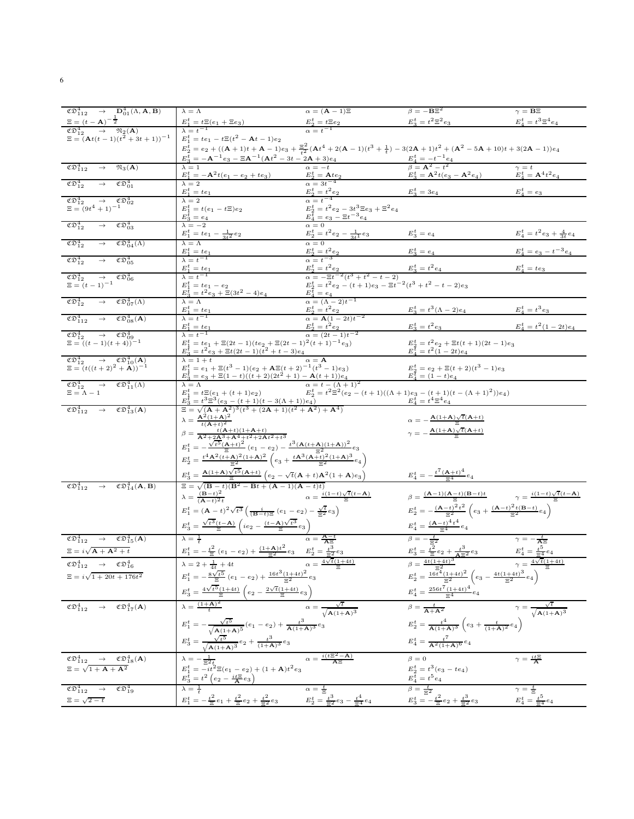| $\mathfrak{CD}^4_{112} \rightarrow D^4_{01}(\Lambda, \mathbf{A}, \mathbf{B})$                                                                                            | $\lambda = \Lambda$                                                                                                                                                                                                                           | $\alpha = (\mathbf{A} - 1)\Xi$                                                                                                                 | $\beta = -\mathbf{B}\Xi^2$                                                                                                                                                                                                                            | $\gamma = \mathbf{B} \Xi$                            |
|--------------------------------------------------------------------------------------------------------------------------------------------------------------------------|-----------------------------------------------------------------------------------------------------------------------------------------------------------------------------------------------------------------------------------------------|------------------------------------------------------------------------------------------------------------------------------------------------|-------------------------------------------------------------------------------------------------------------------------------------------------------------------------------------------------------------------------------------------------------|------------------------------------------------------|
| $E = (t - A)^{-\frac{1}{2}}$                                                                                                                                             |                                                                                                                                                                                                                                               |                                                                                                                                                | $E_3^t = t^2 \Xi^2 e_3$                                                                                                                                                                                                                               | $E_4^t=t^3\Xi^4e_4$                                  |
| $\overrightarrow{\mathfrak{CD}^4_{12}} \rightarrow \mathfrak{N}_2(A)$                                                                                                    | $E_1^t = t \Xi (e_1 + \Xi e_3)$<br>$\lambda = t^{-1}$                                                                                                                                                                                         | $\frac{E_2^t = t \Xi e_2}{\alpha = t^{-1}}$                                                                                                    |                                                                                                                                                                                                                                                       |                                                      |
| $\Xi = (At(t-1)(t^2+3t+1))^{-1}$                                                                                                                                         | $E_1^t=te_1-t\Xi(t^2-\mathbf{A}t-1)e_2$                                                                                                                                                                                                       |                                                                                                                                                |                                                                                                                                                                                                                                                       |                                                      |
|                                                                                                                                                                          | $E_2^t=e_2+((\mathbf{A}+1)t+\mathbf{A}-1)e_3+\frac{\Xi^2}{t^2}(\mathbf{A}t^4+2(\mathbf{A}-1)(t^3+\frac{1}{t})-3(2\mathbf{A}+1)t^2+(\mathbf{A}^2-5\mathbf{A}+10)t+3(2\mathbf{A}-1))e_4$                                                        |                                                                                                                                                |                                                                                                                                                                                                                                                       |                                                      |
|                                                                                                                                                                          |                                                                                                                                                                                                                                               |                                                                                                                                                |                                                                                                                                                                                                                                                       |                                                      |
| $\mathfrak{CD}^4_{112}$<br>$\mathfrak{N}_3(A)$<br>$\rightarrow$                                                                                                          | $E_3^{\frac{2}{5}} = -A^{-1}e_3 - \Xi A^{-1}(At^2 - 3t - 2A + 3)e_4$<br>$A = -t$                                                                                                                                                              |                                                                                                                                                | $E_4^t = -t^{-1}e_4$<br>$\beta = A^2 - t^2$                                                                                                                                                                                                           | $\gamma = t$                                         |
|                                                                                                                                                                          | $E_1^t = -\mathbf{A}^2 t (e_1 - e_2 + t e_3)$                                                                                                                                                                                                 |                                                                                                                                                | $E_3^t = A^2 t (e_3 - A^2 e_4)$                                                                                                                                                                                                                       | $E_4^t = \mathbf{A}^4 t^2 e_4$                       |
| $\mathfrak{CD}_{12}^4$<br>$\mathfrak{CD}_{01}^4$<br>$\rightarrow$                                                                                                        | $\lambda = 2$                                                                                                                                                                                                                                 | $\frac{E_2^t = \mathbf{A} t e_2}{\alpha = 3t^{-4}}$                                                                                            |                                                                                                                                                                                                                                                       |                                                      |
|                                                                                                                                                                          | $E_1^t = te_1$                                                                                                                                                                                                                                | $\label{eq:1D1V:2} \begin{array}{l} E_2^t = t^2 e_2 \\ \alpha = t^{-4} \end{array}$                                                            | $E_3^t = 3e_4$                                                                                                                                                                                                                                        | $E_4^t = e_3$                                        |
| $\mathfrak{CD}_{12}^4$<br>$\mathfrak{CD}_{02}^4$<br>$\longrightarrow$                                                                                                    | $\lambda = 2$                                                                                                                                                                                                                                 |                                                                                                                                                |                                                                                                                                                                                                                                                       |                                                      |
| $\Xi = (9t^4 + 1)^{-1}$                                                                                                                                                  | $E_1^t=t(e_1-t\Xi)e_2$                                                                                                                                                                                                                        |                                                                                                                                                |                                                                                                                                                                                                                                                       |                                                      |
|                                                                                                                                                                          | $E_3^{\overline{t}}=e_4$<br>$\lambda = -2$                                                                                                                                                                                                    | $\begin{array}{l} \overline{E}_2^t = t^2 e_2 - 3 t^3 \Xi e_3 + \Xi^2 e_4 \\ \overline{E}_4^t = e_3 - \Xi t^{-3} e_4 \\ \alpha = 0 \end{array}$ |                                                                                                                                                                                                                                                       |                                                      |
| $\mathfrak{CD}_{12}^4$<br>$\mathfrak{CD}_{03}^4$<br>$\rightarrow$                                                                                                        | $E_1^t = te_1 - \frac{1}{3t^2}e_2$                                                                                                                                                                                                            | $E_2^t = t^2 e_2 - \frac{1}{3t^1} e_3$                                                                                                         | $E_3^t = e_4$                                                                                                                                                                                                                                         | $E_4^{\,t}$ = $t^2\,e_3^{} + \frac{4}{3\,t}\,e_4^{}$ |
| $\mathfrak{CD}_{12}^4$<br>$\mathfrak{CD}_{04}^{4}(\Lambda)$<br>$\rightarrow$                                                                                             | $\lambda = \Lambda$                                                                                                                                                                                                                           | $\alpha=0$                                                                                                                                     |                                                                                                                                                                                                                                                       |                                                      |
|                                                                                                                                                                          | $E_1^t = te_1$                                                                                                                                                                                                                                |                                                                                                                                                | $E_3^t = e_4$                                                                                                                                                                                                                                         | $E_4^t = e_3 - t^{-3}e_4$                            |
| $\mathfrak{CD}_{12}^4$<br>$\mathfrak{CD}_{05}^4$<br>$\longrightarrow$                                                                                                    | $\lambda = t^{-1}$                                                                                                                                                                                                                            | $\frac{E_2^t=t^2e_2}{\alpha=t^{-3}}$                                                                                                           |                                                                                                                                                                                                                                                       |                                                      |
|                                                                                                                                                                          | $E_1^t = te_1$                                                                                                                                                                                                                                | $E_2^t = t^2 e_2$                                                                                                                              | $E_3^t = t^2 e_4$                                                                                                                                                                                                                                     | $E_4^t = te_3$                                       |
| $\mathfrak{CD}_{12}^4$<br>$\mathfrak{CD}_{06}^4$<br>$\rightarrow$                                                                                                        | $\frac{1}{\lambda} = t^{-1}$                                                                                                                                                                                                                  | $\alpha = -\Xi t^{-2}(t^3+t^2-t-2)$                                                                                                            |                                                                                                                                                                                                                                                       |                                                      |
| $\Xi = (t-1)^{-1}$                                                                                                                                                       | $E_1^t = te_1 - e_2$                                                                                                                                                                                                                          | $E_2^t = t^2 e_2 - (t+1)e_3 - \Xi t^{-2} (t^3 + t^2 - t - 2)e_3$                                                                               |                                                                                                                                                                                                                                                       |                                                      |
|                                                                                                                                                                          | $E_3^{\frac{1}{2}} = t^2 e_3 + \Xi(3t^2 - 4)e_4$                                                                                                                                                                                              | $E_4^{\tilde{t}} = e_4$                                                                                                                        |                                                                                                                                                                                                                                                       |                                                      |
| $\mathfrak{CD}_{12}^4$<br>$\mathfrak{CD}_{07}^4(\Lambda)$<br>$\rightarrow$                                                                                               | $\lambda = \Lambda$                                                                                                                                                                                                                           | $\alpha = (\Lambda - 2)t^{-1}$                                                                                                                 | $E_3^t = t^3 (\Lambda - 2)e_4$                                                                                                                                                                                                                        | $E_4^t = t^3 e_3$                                    |
| $\mathfrak{CD}^4_{112}$<br>$\mathfrak{CD}_{08}^4(A)$<br>$\rightarrow$                                                                                                    | $\frac{E_1^t = te_1}{\lambda = t^{-1}}$                                                                                                                                                                                                       | $\frac{E_2^t = t^2 e_2}{\alpha = A(1 - 2t)t^{-2}}$                                                                                             |                                                                                                                                                                                                                                                       |                                                      |
|                                                                                                                                                                          | $E_1^t = te_1$                                                                                                                                                                                                                                | $E_2^t = t^2 e_2$                                                                                                                              | $E_3^t = t^2 e_3$                                                                                                                                                                                                                                     | $E_4^t = t^2(1-2t)e_4$                               |
|                                                                                                                                                                          | $\lambda = t^{-1}$                                                                                                                                                                                                                            | $\alpha = (2t-1)t^{-2}$                                                                                                                        |                                                                                                                                                                                                                                                       |                                                      |
| $\begin{array}{c}\n\mathfrak{CD}_{12}^4 \rightarrow \mathfrak{CD}_{09}^4 \\ \Xi = ((t-1)(t+4))^{-1}\n\end{array}$                                                        | $E_1^t = te_1 + \Xi(2t-1)(te_2 + \Xi(2t-1)^2(t+1)^{-1}e_3)$                                                                                                                                                                                   |                                                                                                                                                | $E_2^t = t^2 \cdot e_2 + \Xi t (t+1) (2t-1) e_3$                                                                                                                                                                                                      |                                                      |
|                                                                                                                                                                          | $E_3^{\overline{t}} = t^2 e_3 + \Xi t (2t-1) (\overline{t^2 + t} - 3) e_4$                                                                                                                                                                    |                                                                                                                                                | $E_4^{\tilde{t}} = t^2(1-2t)e_4$                                                                                                                                                                                                                      |                                                      |
| $\mathfrak{CD}_{12}^4 \rightarrow \mathfrak{CD}_{10}^4(\mathbf{A})$<br>$\Xi = (t((t+2)^2 + A))^{-1}$                                                                     | $\lambda = 1 + t$                                                                                                                                                                                                                             | $\alpha = A$                                                                                                                                   |                                                                                                                                                                                                                                                       |                                                      |
|                                                                                                                                                                          | $E_1^t = e_1 + \Xi(t^3 - 1)(e_2 + \mathbf{A}\Xi(t+2)^{-1}(t^3 - 1)e_3)$<br>$E_3^{\overline{t}} = e_3 + \Xi(1-t)((t+2)(2t^2+1) - \mathbf{A}(t+1))e_4$                                                                                          |                                                                                                                                                | $E_2^t = e_2 + \Xi(t+2)(t^3-1)e_3$<br>$E_4^{\tilde{t}} = (1-t)e_4$                                                                                                                                                                                    |                                                      |
| $\mathfrak{CD}_{12}^4 \rightarrow \mathfrak{CD}_{11}^4(\Lambda)$                                                                                                         | $\lambda = \Lambda$                                                                                                                                                                                                                           | $\alpha = t - (\Lambda + 1)^2$                                                                                                                 |                                                                                                                                                                                                                                                       |                                                      |
| $\Xi = \Lambda - 1$                                                                                                                                                      | $E_1^t = t \Xi(e_1 + (t+1)e_2)$                                                                                                                                                                                                               |                                                                                                                                                | $E_2^t = t^2 \Xi^2 (e_2 - (t+1)((\Lambda + 1)e_3 - (t+1)(t - (\Lambda + 1)^2))e_4)$                                                                                                                                                                   |                                                      |
|                                                                                                                                                                          | $E_3^{\frac{1}{t}} = t^3 \tilde{\Xi}^3 (e_3 - (t+1)(t-3(\Lambda+1))e_4)$<br>$\Xi = \sqrt{(\mathbf{A} + \mathbf{A}^2)^3 (t^3 + (2\mathbf{A} + 1)(t^2 + \mathbf{A}^2) + \mathbf{A}^4)}$                                                         |                                                                                                                                                | $E_4^t = t^4 \Xi^4 e_4$                                                                                                                                                                                                                               |                                                      |
| $\mathfrak{CD}^4_{112} \rightarrow \mathfrak{CD}^4_{13}(\mathbf{A})$                                                                                                     |                                                                                                                                                                                                                                               |                                                                                                                                                |                                                                                                                                                                                                                                                       |                                                      |
|                                                                                                                                                                          | $\lambda = \frac{\mathbf{A}^2(1+\mathbf{A})^2}{t(\mathbf{A}+t)^2}$                                                                                                                                                                            |                                                                                                                                                | $\alpha=-\frac{\mathbf{A}(1+\mathbf{A})\sqrt{t}(\mathbf{A}+t)}{\Xi}$                                                                                                                                                                                  |                                                      |
|                                                                                                                                                                          | $\beta = \frac{t({\textbf{A}}+t)(1+{\textbf{A}}+t)}{{\textbf{A}}^2+2{\textbf{A}}^3+{\textbf{A}}^4+t^2+2{\textbf{A}}t^2+t^3}$                                                                                                                  |                                                                                                                                                | $\gamma=-\frac{\mathbf{A}(1+\mathbf{A})\sqrt{t}(\mathbf{A}+t)}{\Xi}$                                                                                                                                                                                  |                                                      |
|                                                                                                                                                                          |                                                                                                                                                                                                                                               |                                                                                                                                                |                                                                                                                                                                                                                                                       |                                                      |
|                                                                                                                                                                          | $E_1^t = -\frac{\sqrt{t^5} (A+t)^2}{\Xi} (e_1 - e_2) - \frac{t^3 (A(t+A)(1+A))^2}{\Xi^2} e_3$                                                                                                                                                 |                                                                                                                                                |                                                                                                                                                                                                                                                       |                                                      |
|                                                                                                                                                                          | $E_2^t = \frac{t^4 A^2 (t+A)^2 (1+A)^2}{\Xi^2} \left(e_3 + \frac{t A^3 (A+t)^2 (1+A)^3}{\Xi^2} e_4\right)$                                                                                                                                    |                                                                                                                                                |                                                                                                                                                                                                                                                       |                                                      |
|                                                                                                                                                                          |                                                                                                                                                                                                                                               |                                                                                                                                                |                                                                                                                                                                                                                                                       |                                                      |
|                                                                                                                                                                          | $\begin{array}{l} \label{eq:2} E_3^t = \frac{{\bf A}(1+{\bf A})\sqrt{t^5}({\bf A}+t)}{\Xi} \left(e_2 - \sqrt{t}({\bf A}+t){\bf A}^2(1+{\bf A})e_3\right) \\ \Xi = \sqrt{({\bf B}-t)({\bf B}^2-{\bf B}t+({\bf A}-1)({\bf A}-t)t)} \end{array}$ |                                                                                                                                                | $E_4^t = -\frac{t^7({\bf A}+t)^4}{\Xi^4}e_4$                                                                                                                                                                                                          |                                                      |
| $\mathfrak{CD}^4_{14}(\mathbf{A}, \mathbf{B})$<br>$\mathfrak{CD}^4_{112} \rightarrow$                                                                                    |                                                                                                                                                                                                                                               |                                                                                                                                                |                                                                                                                                                                                                                                                       |                                                      |
|                                                                                                                                                                          | $\lambda = \frac{(\mathbf{B}-t)^2}{(\mathbf{A}-t)^2 t}$                                                                                                                                                                                       | $\alpha = \frac{i(1-t)\sqrt{t}(t-\mathbf{A})}{\Xi}$                                                                                            | $\beta = \frac{\left( \mathbf{A} - 1 \right) \left( \mathbf{A} - t \right) \left( \mathbf{B} - t \right) t}{\Xi}$                                                                                                                                     | $\gamma = \frac{i(1-t)\sqrt{t}(t-\mathbf{A})}{\Xi}$  |
|                                                                                                                                                                          | $E_1^t = (\mathbf{A}-t)^2 \sqrt{t^3} \left( \tfrac{i}{(\mathbf{B}-t)\Xi} \left(e_1-e_2\right) - \tfrac{\sqrt{t}}{\Xi^2} e_3 \right)$                                                                                                          |                                                                                                                                                | $E_2^t = -\frac{({\bf A}-t)^2\,t^2}{\Xi^2}\left(e_3 + \frac{({\bf A}-t)^2\,t({\bf B}-t)}{\Xi^2}e_4\right)$                                                                                                                                            |                                                      |
|                                                                                                                                                                          |                                                                                                                                                                                                                                               |                                                                                                                                                |                                                                                                                                                                                                                                                       |                                                      |
|                                                                                                                                                                          | $E_3^t = \frac{\sqrt{t^3}(t - A)}{\Xi}\left(ie_2 - \frac{(t - A)\sqrt{t^3}}{\Xi}e_3\right)$                                                                                                                                                   |                                                                                                                                                | $E_4^t=\frac{\left(\mathbf{A}-t\right)^4 t^4}{\Xi^4} e_4$                                                                                                                                                                                             |                                                      |
| $\mathfrak{C} \mathfrak{D}^4_{112} \rightarrow$<br>$\mathfrak{CD}^4_{15}(A)$                                                                                             | $\lambda = \frac{1}{t}$                                                                                                                                                                                                                       | $\frac{1}{\alpha} = \frac{A-t}{A\Xi}$                                                                                                          | $\beta=-\frac{t}{\Xi^2}$                                                                                                                                                                                                                              | $\gamma = -\frac{t}{\mathbf{A}\Xi}$                  |
| $\Xi=i\sqrt{\mathbf{A}+\mathbf{A}^2+t}$                                                                                                                                  | $\frac{E_1^t}{\lambda = 2 + \frac{t^2}{\alpha} (e_1 - e_2) + \frac{(1 + A)t^2}{\beta^2} e_3 \quad E_2^t = \frac{t^3}{\beta^2} e_3$<br>$\lambda = 2 + \frac{1}{\alpha} + 4t \qquad \alpha = \frac{4\sqrt{t}(1 + 4t)}{\frac{\beta}{\beta}}$     |                                                                                                                                                |                                                                                                                                                                                                                                                       | $E_4^t = \frac{t^5}{\Xi^4} e_4$                      |
|                                                                                                                                                                          |                                                                                                                                                                                                                                               |                                                                                                                                                | $\begin{array}{l} E_3^t = \frac{\overline{t^2}}{5} e_2 + \frac{t^3}{\mathsf{A} \Xi^2} e_3\\ \beta = \frac{4t(1+4t)^3}{\Xi^2} \end{array}$                                                                                                             | $\gamma = \frac{4\sqrt{t}(1+4t)}{t}$                 |
| $\mathfrak{C}\mathfrak{D}^4_{112}\quad\rightarrow\quad\mathfrak{C}\mathfrak{D}^4_{16}$                                                                                   | $\lambda = 2 + \frac{1}{4t} + 4t$                                                                                                                                                                                                             |                                                                                                                                                |                                                                                                                                                                                                                                                       |                                                      |
| $\Xi$ = $i\sqrt{1+20t+176t^2}$                                                                                                                                           | $E_1^t = -\frac{8\sqrt{t^5}}{\Xi} (e_1 - e_2) + \frac{16t^3(1+4t)^2}{\Xi^2} e_3$                                                                                                                                                              |                                                                                                                                                | $E_2^t = \frac{{}^{\underline{c}}\overline{4}}{\underline{c}^2} \frac{(1+4t)^2}{\underline{c}^2} \left( e_3 - \frac{4t(1+4t)^3}{\underline{c}^2} e_4 \right)$                                                                                         |                                                      |
|                                                                                                                                                                          |                                                                                                                                                                                                                                               |                                                                                                                                                |                                                                                                                                                                                                                                                       |                                                      |
|                                                                                                                                                                          |                                                                                                                                                                                                                                               |                                                                                                                                                |                                                                                                                                                                                                                                                       |                                                      |
| $\mathfrak{CD}_{17}^4(\mathbf{A})$<br>$\mathfrak{CD}^4_{112} \quad \rightarrow$                                                                                          | $E_3^t = \frac{4\sqrt{t^5}(1+4t)}{\frac{1}{5}} \left(e_2 - \frac{2\sqrt{t}(1+4t)}{\frac{1}{5}}e_3\right)$<br>$\lambda = \frac{(1+A)^2}{t}$<br>$\alpha = \frac{\sqrt{t}}{\sqrt{A(1+A)^2}}$                                                     |                                                                                                                                                | $\begin{split} E_4^t &= \frac{256 t^7 (1+4 t)^4}{\Xi^4} e_4 \\ \beta &= \frac{t}{\mathbf{A} + \mathbf{A}^2} \qquad \qquad \gamma \\ E_2^t &= \frac{t^4}{\mathbf{A} (1+\mathbf{A})^3} \left( e_3 + \frac{t}{(1+\mathbf{A})^2} e_4 \right) \end{split}$ | $\frac{\sqrt{t}}{\sqrt{A(1+A)^3}}$                   |
|                                                                                                                                                                          |                                                                                                                                                                                                                                               |                                                                                                                                                |                                                                                                                                                                                                                                                       |                                                      |
|                                                                                                                                                                          | $E_1^t = -\frac{\sqrt{t^5}}{\sqrt{A(1+A)^5}}(e_1-e_2) + \frac{t^3}{A(1+A)^3}e_3$                                                                                                                                                              |                                                                                                                                                |                                                                                                                                                                                                                                                       |                                                      |
|                                                                                                                                                                          |                                                                                                                                                                                                                                               |                                                                                                                                                |                                                                                                                                                                                                                                                       |                                                      |
|                                                                                                                                                                          | $E_3^t = \frac{\sqrt{t^5}}{\sqrt{A(1+A)^3}}e_2 + \frac{t^3}{(1+A)^3}e_3$                                                                                                                                                                      |                                                                                                                                                | $E_4^t = \frac{t^7}{A^2(1+A)^6}e_4$                                                                                                                                                                                                                   |                                                      |
|                                                                                                                                                                          | $\lambda = -\frac{1}{\frac{1}{\Xi^2 t_2}}$<br>$E_1^t = -it^t \Xi(e_1 - e_2) + (1 + A)t^2 e_3$<br>$E_1^t = -it^t \Xi(e_1 - e_2) + (1 + A)t^2 e_3$                                                                                              |                                                                                                                                                | $\beta = 0$                                                                                                                                                                                                                                           | $\gamma = \frac{i t \Xi}{\mathsf{A}}$                |
| $\begin{split} \mathfrak{C} \mathfrak{D}_{112}^4 &\longrightarrow & \mathfrak{C} \mathfrak{D}_{18}^4(\mathbf{A}) \\ \Xi &= \sqrt{1+\mathbf{A}+\mathbf{A}^2} \end{split}$ |                                                                                                                                                                                                                                               |                                                                                                                                                | $E_2^t$ = $t^3(\boldsymbol{e}_3$ $ \boldsymbol{t}\boldsymbol{e}_4)$                                                                                                                                                                                   |                                                      |
|                                                                                                                                                                          | $\label{eq:2} \begin{array}{c} \phantom{-} \phantom{+} \cdot \cdot \cdot \leftarrow (e_1 - e_2) \\ \phantom{-} E_3^\dagger = t^2 \left(e_2 - \frac{it\Xi}{\mathbf{A}} e_3\right) \\ \phantom{-} \lambda = \frac{1}{\mathbf{A}} \end{array}$   |                                                                                                                                                | $E_4^{\overline{t}}=t^5e_4$                                                                                                                                                                                                                           |                                                      |
|                                                                                                                                                                          |                                                                                                                                                                                                                                               | $\alpha = \frac{t}{\Xi}$                                                                                                                       | $\beta = \frac{t}{\pi^2}$                                                                                                                                                                                                                             |                                                      |
| $\mathfrak{CD}^4_{112}$<br>$\mathfrak{CD}_{19}^4$<br>$\longrightarrow$                                                                                                   |                                                                                                                                                                                                                                               |                                                                                                                                                |                                                                                                                                                                                                                                                       | $\gamma = \frac{t}{\Xi}$                             |
| $\Xi$ = $\sqrt{2\,-\,t}$                                                                                                                                                 | $E_1^t = -\tfrac{t^2}{\Xi}e_1 + \tfrac{t^2}{\Xi}e_2 + \tfrac{t^2}{\Xi^2}e_3 \hspace{1cm} E_2^t = \frac{t^3}{\Xi^2}e_3 - \tfrac{t^4}{\Xi^4}e_4$                                                                                                |                                                                                                                                                | $E_3^t = -\frac{t^2}{\Xi}e_2 + \frac{t^3}{\Xi^2}e_3$                                                                                                                                                                                                  | $E_4^t = \frac{t^5}{\Xi^4} e_4$                      |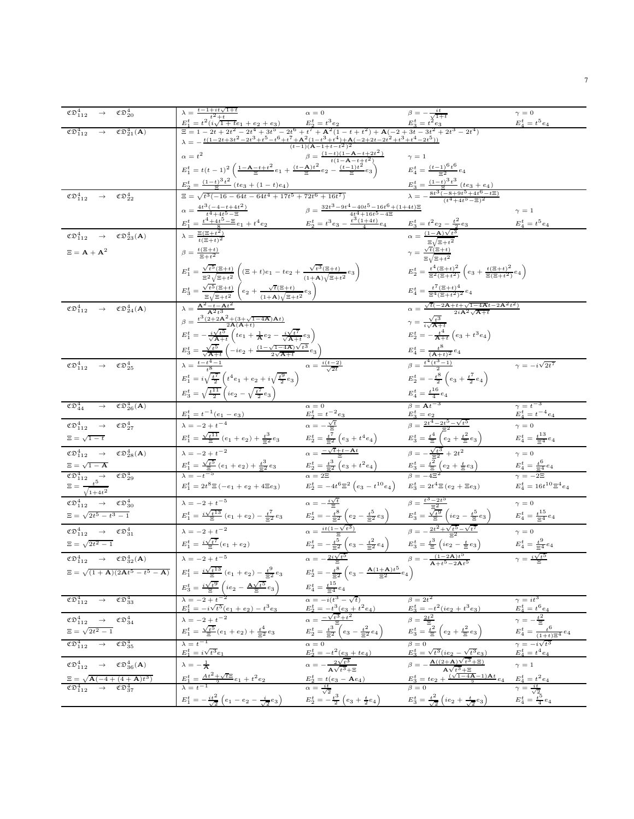| $\mathfrak{CD}^4_{112} \rightarrow \mathfrak{CD}^4_{20}$                                                                                                     | $\lambda = \frac{t-1+it\sqrt{1+t}}{t^2+t}$                                                                                                                                                                                                                                                                                                                                                                      |                                                                                                                                                                                                                                                                                                                                                             |                                                                                                                                                                                          | $\gamma = 0$<br>$E_4^t=t^5e_4$                                                 |
|--------------------------------------------------------------------------------------------------------------------------------------------------------------|-----------------------------------------------------------------------------------------------------------------------------------------------------------------------------------------------------------------------------------------------------------------------------------------------------------------------------------------------------------------------------------------------------------------|-------------------------------------------------------------------------------------------------------------------------------------------------------------------------------------------------------------------------------------------------------------------------------------------------------------------------------------------------------------|------------------------------------------------------------------------------------------------------------------------------------------------------------------------------------------|--------------------------------------------------------------------------------|
| $\mathfrak{CD}^4_{112}$<br>$\mathfrak{CD}_{21}^{4}(\mathbf{A})$<br>$\rightarrow$                                                                             | $E_1^t = t^2 \frac{t^3}{(t\sqrt{1 + te_1 + e_2 + e_3})}$<br>$E_2^t = t^3 \frac{E_3^t = t^3 \frac{e_3}{(t\sqrt{1 + te_1 + e_2 + e_3})}$<br>$E_3^t = t^3 \frac{e_3^t}{(t\sqrt{1 + te_1 + 2t^2 - 2t^4 + 3t^5 - 2t^6 + t^7 + A^2(1 - t + t^2) + A(-2 + 3t - 3t^2 + 2t^3 - 2t^4)}$<br>$\lambda = -\frac{t(1 - 2t + 3t^2 - 2t^3 + t$                                                                                  |                                                                                                                                                                                                                                                                                                                                                             |                                                                                                                                                                                          |                                                                                |
|                                                                                                                                                              |                                                                                                                                                                                                                                                                                                                                                                                                                 |                                                                                                                                                                                                                                                                                                                                                             |                                                                                                                                                                                          |                                                                                |
|                                                                                                                                                              | $\alpha$ = $t^2$                                                                                                                                                                                                                                                                                                                                                                                                | $\beta = \frac{(1-t)(1 - A - t + 2t^2)}{t(1 - A - t + t^2)}$                                                                                                                                                                                                                                                                                                | $\gamma=1$                                                                                                                                                                               |                                                                                |
|                                                                                                                                                              | $E_1^t = t(t-1)^2 \left( \frac{1 - A - t + t^2}{\Xi} e_1 + \frac{(t - A)t^2}{\Xi} e_2 - \frac{(t-1)t^2}{\Xi} e_3 \right)$                                                                                                                                                                                                                                                                                       |                                                                                                                                                                                                                                                                                                                                                             | $E_4^t = \frac{(t-1)^6 t^6}{2} e_4$                                                                                                                                                      |                                                                                |
|                                                                                                                                                              |                                                                                                                                                                                                                                                                                                                                                                                                                 |                                                                                                                                                                                                                                                                                                                                                             |                                                                                                                                                                                          |                                                                                |
|                                                                                                                                                              | $\begin{array}{l} \underline{E_2^t} = \frac{{(1 - t)^3}{t^2}}{\Xi}\left( {te_3 + (1 - t){e_4}} \right) \\ \underline{\Xi} = \sqrt {{t^3 ( - 16 - 64t - 64t^4 + 17t^5 + 72t^6 + 16t^7)}} \end{array}$                                                                                                                                                                                                            |                                                                                                                                                                                                                                                                                                                                                             | $\frac{E_3^t}{\lambda} = \frac{(1-t)^3 t^3}{\Xi} (te_3 + e_4)$<br>$\lambda = -\frac{8t^3(-8+9t^5+4t^6-t\Xi)}{(t^4+4t^5-\Xi)^2}$                                                          |                                                                                |
| $\mathfrak{C}\mathfrak{D}^4_{112}\quad\rightarrow\quad\mathfrak{C}\mathfrak{D}^4_{22}$                                                                       |                                                                                                                                                                                                                                                                                                                                                                                                                 |                                                                                                                                                                                                                                                                                                                                                             |                                                                                                                                                                                          |                                                                                |
|                                                                                                                                                              | $\alpha = \frac{4t^3(-4 - t + 4t^2)}{t^4 + 4t^5 - \Xi}$                                                                                                                                                                                                                                                                                                                                                         | $\beta = \frac{32t^3 - 9t^4 - 40t^5 - 16t^6 + (1+4t)\Xi}{4t^4 + 16t^5 - 4\Xi}$                                                                                                                                                                                                                                                                              |                                                                                                                                                                                          | $\gamma=1$                                                                     |
|                                                                                                                                                              |                                                                                                                                                                                                                                                                                                                                                                                                                 |                                                                                                                                                                                                                                                                                                                                                             |                                                                                                                                                                                          | $E_4^t=t^5\boldsymbol{e}_4$                                                    |
| $\label{eq:2.12} \mathfrak{C} \mathfrak{D}^4_{112} \quad \rightarrow \quad \mathfrak{C} \mathfrak{D}^4_{23}(\mathbf{A})$                                     | $\frac{E_1^t}{\lambda = \frac{\Xi(\Xi + t^2)}{\Xi}} = e_1 + t^4 e_2$ $\frac{E_2^t}{\lambda = \frac{\Xi(\Xi + t^2)}{\Xi(\Xi + t)^2}} = 1 + t^4 e_2$ $E_2^t = t^3 e_3 - \frac{t^3(1+4t)}{4} e_4$                                                                                                                                                                                                                  |                                                                                                                                                                                                                                                                                                                                                             | $\begin{array}{l} \label{eq:1} E_3^t=t^2e_2-\frac{t^2}{2}e_3\\ \alpha=\frac{(1-\mathbf{A})\sqrt{t^3}}{\Xi\sqrt{\Xi+t^2}}\\ \gamma=\frac{\sqrt{t}(\Xi+t)}{\Xi\sqrt{\Xi+t^2}} \end{array}$ |                                                                                |
| $\Xi = \mathbf{A} + \mathbf{A}^2$                                                                                                                            | $\beta = \frac{t(\Xi+t)}{\Xi+t^2}$                                                                                                                                                                                                                                                                                                                                                                              |                                                                                                                                                                                                                                                                                                                                                             |                                                                                                                                                                                          |                                                                                |
|                                                                                                                                                              |                                                                                                                                                                                                                                                                                                                                                                                                                 |                                                                                                                                                                                                                                                                                                                                                             |                                                                                                                                                                                          |                                                                                |
|                                                                                                                                                              | $E_1^t = \frac{\sqrt{t^5}(\Xi + t)}{\Xi^2 \sqrt{\Xi + t^2}} \left( (\Xi + t)e_1 - te_2 + \frac{\sqrt{t^3}(\Xi + t)}{(1 + A)\sqrt{\Xi + t^2}}e_3 \right)$                                                                                                                                                                                                                                                        |                                                                                                                                                                                                                                                                                                                                                             | $E_2^t=\tfrac{t^4(\Xi+t)^2}{\Xi^2(\Xi+t^2)}\left(e_3+\tfrac{t(\Xi+t)^2}{\Xi(\Xi+t^2)}e_4\right)$                                                                                         |                                                                                |
|                                                                                                                                                              |                                                                                                                                                                                                                                                                                                                                                                                                                 |                                                                                                                                                                                                                                                                                                                                                             |                                                                                                                                                                                          |                                                                                |
|                                                                                                                                                              | $\frac{E_3^t}{\Delta} = \frac{\frac{\sqrt{t^5}(\Xi+t)}{\Xi\sqrt{\Xi+t^2}} \left(e_2 + \frac{\sqrt{t}(\Xi+t)}{(1+\mathbf{A})\sqrt{\Xi+t^2}}e_3\right)}{\lambda = \frac{\mathbf{A}^2 - t - \mathbf{A}t^2}{\Delta^2 + \Delta^2}}$                                                                                                                                                                                  |                                                                                                                                                                                                                                                                                                                                                             | $E_4^t = \frac{t^7 (\Xi + t)^4}{\Xi^4 (\Xi + t^2)^2} e_4$                                                                                                                                |                                                                                |
| $\label{eq:201112} \mathfrak{CD}_{112}^4 \quad \rightarrow \quad \mathfrak{CD}_{24}^4(\mathbf{A})$                                                           |                                                                                                                                                                                                                                                                                                                                                                                                                 |                                                                                                                                                                                                                                                                                                                                                             | $\alpha = \frac{\sqrt{t}(-2\mathbf{A}+t+\sqrt{1-4\mathbf{A}}t-2\mathbf{A}^2\,t^2)}{2i\mathbf{A}^2\sqrt{\mathbf{A}+t}}$                                                                   |                                                                                |
|                                                                                                                                                              | $\beta = \frac{t^3(2+2A^2+(3+\sqrt{1-4A})At)}{2A(A+t)}$                                                                                                                                                                                                                                                                                                                                                         |                                                                                                                                                                                                                                                                                                                                                             | $\gamma = \frac{\sqrt{t^3}}{i\sqrt{\mathbf{A}+t}}$                                                                                                                                       |                                                                                |
|                                                                                                                                                              | $E_1^t=-\frac{i\sqrt{t^5}}{\sqrt{\mathbf{A}+t}}\left(te_1+\frac{1}{\mathbf{A}}e_2-\frac{i\sqrt{t^7}}{\sqrt{\mathbf{A}+t}}e_3\right)$                                                                                                                                                                                                                                                                            |                                                                                                                                                                                                                                                                                                                                                             | $E_2^t = -\frac{t^4}{\mathbf{A}+t} \left( e_3 + t^3 e_4 \right)$                                                                                                                         |                                                                                |
|                                                                                                                                                              |                                                                                                                                                                                                                                                                                                                                                                                                                 |                                                                                                                                                                                                                                                                                                                                                             |                                                                                                                                                                                          |                                                                                |
|                                                                                                                                                              | $\begin{split} E_3^t &= \frac{\sqrt{t^5}}{\sqrt{\mathbf{A}+t}} \left( -ie_2 + \frac{(1-\sqrt{1-4\mathbf{A}})\sqrt{t^3}}{2\sqrt{\mathbf{A}+t}} e_3' \right) \\ \lambda &= \frac{t-t^4-1}{t^8} \qquad \qquad \alpha = \frac{i(t-2)}{\sqrt{2t}} \end{split}$                                                                                                                                                       |                                                                                                                                                                                                                                                                                                                                                             | $E_4^t = \frac{t^8}{(A+t)^2} e_4$<br>$\beta = \frac{t^4(t^3-1)}{2}$                                                                                                                      |                                                                                |
| $\mathfrak{C} \mathfrak{D}^4_{112} \quad \rightarrow \quad \mathfrak{C} \mathfrak{D}^4_{25}$                                                                 |                                                                                                                                                                                                                                                                                                                                                                                                                 |                                                                                                                                                                                                                                                                                                                                                             |                                                                                                                                                                                          | $\gamma = -i\sqrt{2t^7}$                                                       |
|                                                                                                                                                              | $E_1^t = i \sqrt{\tfrac{t^7}{2}} \left( t^4 e_1 + e_2 + i \sqrt{\tfrac{t^9}{2}} e_3 \right)$                                                                                                                                                                                                                                                                                                                    |                                                                                                                                                                                                                                                                                                                                                             | $E_2^t = -\frac{t^8}{2}\left( e_3 + \frac{t^7}{2}e_4 \right)$                                                                                                                            |                                                                                |
|                                                                                                                                                              | $E_3^t = \sqrt{\frac{t^{11}}{2}} \left( i e_2 - \sqrt{\frac{t^7}{2}} e_3 \right)$                                                                                                                                                                                                                                                                                                                               |                                                                                                                                                                                                                                                                                                                                                             | $E_4^t = \frac{t^{16}}{4}e_4$<br>$\beta = At^{-3}$                                                                                                                                       |                                                                                |
| $\mathfrak{CD}_{26}^{4}(\bf A)$<br>$\mathfrak{CD}^4_{44}$<br>$\rightarrow$                                                                                   |                                                                                                                                                                                                                                                                                                                                                                                                                 | $\alpha = 0$                                                                                                                                                                                                                                                                                                                                                |                                                                                                                                                                                          | $\gamma=t^{-3}$                                                                |
|                                                                                                                                                              | $E_1^t = t^{-1}(e_1 - e_3)$<br>$\lambda = -2 + t^{-4}$                                                                                                                                                                                                                                                                                                                                                          | $\frac{E_2^t = t^{-2}e_3}{\alpha = -\frac{\sqrt{t}}{\Xi}}$                                                                                                                                                                                                                                                                                                  | $\frac{E_3^t = e_2}{\beta = \frac{2t^4 - 2t^5 - \sqrt{t^5}}{\sqrt{2}}}$                                                                                                                  | $E_4^{\,t}=t^{-4}e_4$                                                          |
| $\mathfrak{C} \mathfrak{D}^4_{112} \longrightarrow$<br>$\mathfrak{CD}^4_{27}$                                                                                |                                                                                                                                                                                                                                                                                                                                                                                                                 |                                                                                                                                                                                                                                                                                                                                                             |                                                                                                                                                                                          | $\gamma = 0$                                                                   |
| $\Xi$ = $\sqrt{1\,-\,t}$                                                                                                                                     | $\begin{array}{llll} \label{eq:17} E_1^t = \frac{\sqrt{t^{11}}}{\Xi}\left(e_1+e_2\right) + \frac{t^3}{\Xi^2}e_3 & \qquad E_2^t = \frac{t^7}{\Xi^2}\left(e_3+t^4e_4\right) & \qquad E_3^t = \frac{t^4}{\Xi}\left(\frac{\overline{\tilde{e}}^2}{e_2}+\frac{t^2}{\Xi}e_3\right) \\ \lambda = -2\,t^{-2} & \qquad \alpha = \frac{-\sqrt{t}+t-\text{At}}{\Xi} & \qquad \beta = -\frac{\sqrt{t^3}}{\Xi^2}+2t^2 \end{$ |                                                                                                                                                                                                                                                                                                                                                             |                                                                                                                                                                                          | $E_4^t=\frac{t^{13}}{\Xi^4}e_4$                                                |
| $\begin{array}{cccc} \mathfrak{C}\mathfrak{D}^4_{112} & \to & \mathfrak{C}\mathfrak{D}^4_{28}(\bf A) \end{array}$                                            |                                                                                                                                                                                                                                                                                                                                                                                                                 |                                                                                                                                                                                                                                                                                                                                                             |                                                                                                                                                                                          | $\gamma = 0$                                                                   |
| $\Xi = \sqrt{1 - A}$                                                                                                                                         | $\begin{array}{lll} E_1^t = \frac{\sqrt{t^5}}{5} \left( e_1 + e_2 \right) + \frac{t^3}{\Xi^2} e_3 & \qquad E_2^t = \frac{t^3}{\Xi^2} \left( e_3 + t^2 e_4 \right) & \qquad E_3^t = \frac{t^{\overline{2}}}{\Xi} \left( e_2 + \frac{t}{\Xi} e_3 \right) \\ \lambda = - t^{-5} & \qquad \alpha = 2 \Xi & \qquad \beta = - 4 \Xi^2 \end{array}$                                                                    |                                                                                                                                                                                                                                                                                                                                                             |                                                                                                                                                                                          | $E_4^t = \frac{t^6}{\Xi^4} e_4$<br>$\gamma = -2\Xi$                            |
| $\mathfrak{CD}_{29}^4$                                                                                                                                       |                                                                                                                                                                                                                                                                                                                                                                                                                 |                                                                                                                                                                                                                                                                                                                                                             |                                                                                                                                                                                          |                                                                                |
| $\begin{aligned} \mathfrak{C} \mathfrak{D}^4_{112} &\rightarrow \\ \Xi = \frac{t^5}{\sqrt{1+4t^2}} \end{aligned}$                                            | $E_1^t=2t^8\Xi\left(-e_1+e_2+4\Xi e_3\right)$                                                                                                                                                                                                                                                                                                                                                                   | $E_2^t = -4t^6 \Xi ^2 \left( {e_3 - t^{10} e_4 } \right)\quad \  E_3^t = 2t^4 \Xi \left( {e_2 + \Xi e_3 } \right)$                                                                                                                                                                                                                                          |                                                                                                                                                                                          | $E_4^t = 16t^{10} \Xi^4 e_4$                                                   |
| $\overline{\mathfrak{C}\mathfrak{D}^4_{112}} \quad \rightarrow \quad \mathfrak{C}\mathfrak{D}^4_{30}$                                                        | $\lambda = -2 + t^{-5}$                                                                                                                                                                                                                                                                                                                                                                                         | $\alpha = -\frac{i\sqrt{t}}{E}$                                                                                                                                                                                                                                                                                                                             | $\beta = \frac{t^3 - 2t^5}{\Xi^2}$                                                                                                                                                       | $\gamma = 0$                                                                   |
| $\Xi=\sqrt{2t^5-t^3-1}$                                                                                                                                      |                                                                                                                                                                                                                                                                                                                                                                                                                 |                                                                                                                                                                                                                                                                                                                                                             |                                                                                                                                                                                          |                                                                                |
| $\mathfrak{C} \mathfrak{D}^4_{112} \quad \rightarrow \quad \mathfrak{C} \mathfrak{D}^4_{31}$                                                                 | $\begin{array}{lllllll} \hspace{0.2cm} E_1^t = \frac{i \sqrt{t^{13}}}{\Xi} \left( e_1 + e_2 \right) - \frac{t^7}{\Xi^2} e_3 & \hspace{0.2cm} E_2^t = - \frac{i^8}{\Xi^2} \left( e_2 - \frac{t^5}{\Xi^2} e_3 \right) & \hspace{0.2cm} E_3^t = \frac{\sqrt{t^9}}{\Xi} \left( i e_2 - \frac{t^5}{\Xi} e_3 \right) & \hspace{0.2cm} E_4^t = \frac{t^{15}}{\Xi^4} e_4 \\ \lambda = -2 + t^{-2} & \hs$                |                                                                                                                                                                                                                                                                                                                                                             |                                                                                                                                                                                          |                                                                                |
| $\Xi=\sqrt{2t^2-1}$                                                                                                                                          | $E_1^t = \frac{i\sqrt{t^7}}{\Xi}(e_1 + e_2)$                                                                                                                                                                                                                                                                                                                                                                    |                                                                                                                                                                                                                                                                                                                                                             |                                                                                                                                                                                          |                                                                                |
|                                                                                                                                                              |                                                                                                                                                                                                                                                                                                                                                                                                                 | $\begin{array}{ll} E_2^t = - \frac{t^{\overline{5}}}{\Xi^2} \left( e_3 - \frac{t^2}{\Xi^2} e_4 \right) & \quad E_3^t = \frac{t^3}{\Xi} \left( i e_2 - \frac{t}{\Xi} e_3 \right) \\ \hline \\ \alpha = - \frac{2 i \sqrt{t^5}}{\Xi} & \beta = - \frac{(1-2 {\bf A}) t^{\overline{5}}}{ {\bf A} + t^{\overline{5}} - 2 {\bf A} t^{\overline{5}}} \end{array}$ |                                                                                                                                                                                          | $E_4^t = \frac{t^9}{\Xi^4}e_4$                                                 |
| $\label{eq:2.10} \mathfrak{CD}^4_{112} \quad \rightarrow \quad \mathfrak{CD}^4_{32}(\mathbf{A})$                                                             | $\lambda = -2 + t^{-5}$                                                                                                                                                                                                                                                                                                                                                                                         |                                                                                                                                                                                                                                                                                                                                                             |                                                                                                                                                                                          | $\gamma = \frac{i\sqrt{t^5}}{\Xi}$                                             |
| $\Xi = \sqrt{(1+\mathbf{A})(2\mathbf{A}t^5 - t^5 - \mathbf{A})}$                                                                                             | $E_1^t = \frac{i\sqrt{t^{13}}}{\Xi} (e_1 + e_2) - \frac{t^9}{\Xi^2} e_3$                                                                                                                                                                                                                                                                                                                                        | $E_2^t = -\frac{t^8}{\Xi^2} \left( e_3 - \frac{A(1+A)t^5}{\Xi^2} e_4 \right)$                                                                                                                                                                                                                                                                               |                                                                                                                                                                                          |                                                                                |
|                                                                                                                                                              | $\begin{array}{ll} E^t_3 = \frac{i\sqrt{t^9}}{\Xi} \left( i e_2 - \frac{{\bf A} \sqrt{t^5}}{\Xi} e_3 \right) & \quad E^t_4 = \frac{t^{15}}{\Xi^4} e_4 \\ \lambda = -2 + t^{-2} & \quad \alpha = -i (t^3 - \sqrt{t}) \\ E^t_1 = -i \sqrt{t^5} (e_1 + e_2) - t^3 e_3 & \quad E^t_2 = -t^3 (e_3 + t^2 e_4) \\ \lambda = -2 + t^{-2} & \quad \alpha = \frac{-\sqrt{t^3 + t^2}}{\Xi} \end{array}$                    |                                                                                                                                                                                                                                                                                                                                                             |                                                                                                                                                                                          |                                                                                |
| $\mathfrak{C} \mathfrak{D}^4_{112} \rightarrow \mathfrak{C} \mathfrak{D}^4_{33}$                                                                             |                                                                                                                                                                                                                                                                                                                                                                                                                 |                                                                                                                                                                                                                                                                                                                                                             | $\beta = 2t^2$                                                                                                                                                                           | $\gamma = it^3$                                                                |
|                                                                                                                                                              |                                                                                                                                                                                                                                                                                                                                                                                                                 |                                                                                                                                                                                                                                                                                                                                                             | $E_3^t = -t^2 (ie_2 + t^3 e_3)$<br>$\beta = \frac{2t^2}{\Xi}$<br>$E_3^t = \frac{t^2}{\Xi} \left( e_2 + \frac{t^2}{\Xi} e_3 \right)$                                                      | $\frac{\beta_4 t}{\gamma_4} = t^6 e_4$<br>$\gamma_5 = -\frac{t^2}{\epsilon^2}$ |
| $\overline{\mathfrak{C}\mathfrak{D}^4_{112}} \longrightarrow \mathfrak{C}\mathfrak{D}^4_{34}$<br>$\Xi$ = $\sqrt{2t^2-1}$                                     |                                                                                                                                                                                                                                                                                                                                                                                                                 | $E_2^t = \frac{t^3}{\Xi^2} \left( e_3 - \frac{t^2}{\Xi^2} e_4 \right)$                                                                                                                                                                                                                                                                                      |                                                                                                                                                                                          |                                                                                |
|                                                                                                                                                              | $E_1^t = \frac{\sqrt{t^5}}{\Xi}(e_1+e_2) + \frac{t^4}{\Xi^2}e_3$                                                                                                                                                                                                                                                                                                                                                |                                                                                                                                                                                                                                                                                                                                                             |                                                                                                                                                                                          | $E_4^t = \frac{1}{(1+t)\Xi^4}e_4$                                              |
| $\mathfrak{CD}^4_{112} \rightarrow \mathfrak{CD}^4_{35}$                                                                                                     | $\lambda=t^{-1}$<br>$E_1^t = i\sqrt{t^3}e_1$                                                                                                                                                                                                                                                                                                                                                                    | $\alpha$ = 0                                                                                                                                                                                                                                                                                                                                                | $\beta = 0$                                                                                                                                                                              | $\gamma = -i\sqrt{t^3}$<br>$E_4^t=t^4e_4$                                      |
| $\mathfrak{CD}^4_{112} \quad \rightarrow \quad \mathfrak{CD}^4_{36}(\mathbf{A})$                                                                             | $\lambda = -\frac{1}{\mathbf{A}}$                                                                                                                                                                                                                                                                                                                                                                               | $E_2^t = -t^2 (e_3 + te_4)$<br>$\alpha = -\frac{2\sqrt{t^3}}{A\sqrt{t^3 + \Xi}}$                                                                                                                                                                                                                                                                            | $\frac{E_3^t = \sqrt{t^3}(ie_2 - \sqrt{t^3}e_3)}{\beta = -\frac{A((2+A)\sqrt{t^3} + \Xi)}{\sqrt{2}}$                                                                                     | $\gamma = 1$                                                                   |
|                                                                                                                                                              |                                                                                                                                                                                                                                                                                                                                                                                                                 |                                                                                                                                                                                                                                                                                                                                                             | $A\sqrt{t^3+\Xi}$                                                                                                                                                                        |                                                                                |
| $\begin{array}{ccl} \Xi=\sqrt{\mathbf{A}(-4+(4+\mathbf{A})t^3)}\\ \mathfrak{C}\mathfrak{D}^4_{112}&\rightarrow& \mathfrak{C}\mathfrak{D}^4_{37} \end{array}$ | $\frac{E_1^t = \frac{At^2 + \sqrt{t} \Xi}{2}e_1 + t^2 e_2}{\lambda - t^{-1}}$                                                                                                                                                                                                                                                                                                                                   | $\frac{E_2^t = t(e_3 - Ae_4)}{\alpha = \frac{it}{\sqrt{2}}}$                                                                                                                                                                                                                                                                                                | $\frac{E_3^t = te_2 + \frac{(\sqrt{1-4A}-1)At}{2}e_4}{\beta = 0}$                                                                                                                        | $\frac{E_4^t=t^2e_4}{\gamma=\frac{it}{\sqrt{2}_\varepsilon}}$                  |
|                                                                                                                                                              | $E_1^t = -\frac{it^2}{\sqrt{2}}\left(e_1 - e_2 - \frac{i}{\sqrt{2}}e_3\right)$                                                                                                                                                                                                                                                                                                                                  | $E_2^t = -\frac{t^3}{2} \left( e_3 + \frac{t}{2} e_4 \right)$                                                                                                                                                                                                                                                                                               | $E_3^t = \frac{t^2}{\sqrt{2}} \left( i e_2 + \frac{t}{\sqrt{2}} e_3 \right)$                                                                                                             | $E_4^t = \frac{t^5}{4}e_4$                                                     |
|                                                                                                                                                              |                                                                                                                                                                                                                                                                                                                                                                                                                 |                                                                                                                                                                                                                                                                                                                                                             |                                                                                                                                                                                          |                                                                                |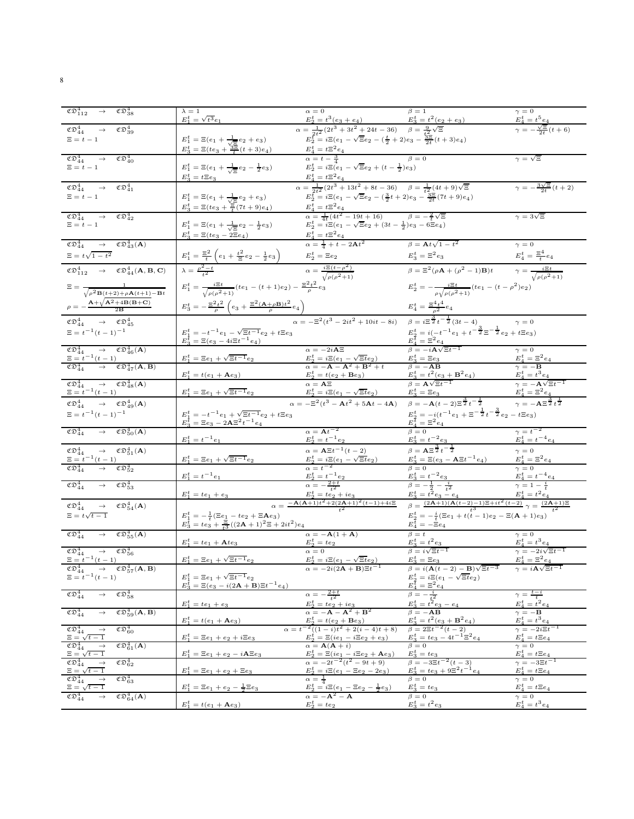| $\mathfrak{CD}_{112}^4 \rightarrow$<br>$\mathfrak{CD}^4_{38}$                                                            | $\lambda = 1$<br>$E_1^t = \sqrt{t^3}e_1$                                                                                                                                                             | $\alpha = 0$                                                                                                                                                         | $\beta=1$                                                                                                                                                                                                                                                                                                      | $\gamma=0$<br>$E_4^t = t^5 e_4$                                                                                             |
|--------------------------------------------------------------------------------------------------------------------------|------------------------------------------------------------------------------------------------------------------------------------------------------------------------------------------------------|----------------------------------------------------------------------------------------------------------------------------------------------------------------------|----------------------------------------------------------------------------------------------------------------------------------------------------------------------------------------------------------------------------------------------------------------------------------------------------------------|-----------------------------------------------------------------------------------------------------------------------------|
| $\mathfrak{C}\mathfrak{D}^4_{44}$<br>$\mathfrak{CD}^4_{39}$<br>$\rightarrow$                                             |                                                                                                                                                                                                      | $\frac{E_2^t}{\alpha} = \frac{t^3(e_3+e_4)}{2t^2(2t^3+3t^2+24t-36)}$<br>$\frac{1}{\beta} = \frac{9}{t^2}\sqrt{2}$                                                    |                                                                                                                                                                                                                                                                                                                | $\gamma = -\frac{\sqrt{\Xi}}{2t}(t+6)$                                                                                      |
| $\Xi = t - 1$                                                                                                            |                                                                                                                                                                                                      | $E_2^{\frac{2}{t}+2}$ $i\Xi(e_1-\sqrt{\Xi}e_2-(\frac{t}{2}+2)e_3-\frac{3\Xi}{2t}(t+3)e_4)$                                                                           |                                                                                                                                                                                                                                                                                                                |                                                                                                                             |
|                                                                                                                          | $\begin{array}{l} E_1^t = \Xi(e_1 + \frac{1}{\sqrt{\Xi}} e_2 + e_3) \\ E_3^t = \Xi( t e_3 + \frac{3 \Xi}{t} (t+3) e_4) \end{array}$                                                                  |                                                                                                                                                                      |                                                                                                                                                                                                                                                                                                                |                                                                                                                             |
| $\mathfrak{CD}^4_{44} \longrightarrow \mathfrak{CD}^4_{40}$                                                              |                                                                                                                                                                                                      | $\frac{E_4^t = t \Xi^2 e_4}{\alpha = t - \frac{3}{4}}$                                                                                                               | $\beta = 0$                                                                                                                                                                                                                                                                                                    | $\gamma = \sqrt{\Xi}$                                                                                                       |
| $\Xi = t - 1$                                                                                                            | $E_1^t = \Xi(e_1 + \frac{1}{\sqrt{\Xi}}e_2 - \frac{1}{2}e_3)$                                                                                                                                        | $E_2^t = i\overline{\Xi}(\overline{e}_1 - \sqrt{\Xi}e_2 + (t-\frac{1}{2})e_3)$                                                                                       |                                                                                                                                                                                                                                                                                                                |                                                                                                                             |
|                                                                                                                          |                                                                                                                                                                                                      |                                                                                                                                                                      |                                                                                                                                                                                                                                                                                                                |                                                                                                                             |
| $\mathfrak{C} \mathfrak{D}^4_{44} \quad \rightarrow \quad \mathfrak{C} \mathfrak{D}^4_{41}$                              | $E_3^t = t \Xi e_3$                                                                                                                                                                                  | $\begin{array}{c} E_4^t = t \Xi^2 e_4 \\ \alpha = \frac{1}{2 t^2} (2 t^3 + 13 t^2 + 8 t - 36) \hspace{0.5cm} \beta = \frac{1}{t^2} (4 t + 9) \sqrt{\Xi} \end{array}$ |                                                                                                                                                                                                                                                                                                                |                                                                                                                             |
|                                                                                                                          |                                                                                                                                                                                                      |                                                                                                                                                                      |                                                                                                                                                                                                                                                                                                                | $\gamma = -\frac{3\sqrt{\Xi}}{2t}(t+2)$                                                                                     |
| $\Xi = t - 1$                                                                                                            | $E_1^t = \Xi(e_1 + \frac{1}{\sqrt{\Xi}}e_2 + e_3)$                                                                                                                                                   | $E_2^{\overbrace{\ell}} = i \Xi(e_1 - \sqrt{\Xi}e_2 - (\frac{3}{2}t + 2)e_3 - \frac{3\Xi}{2t}(7t + 9)e_4)$                                                           |                                                                                                                                                                                                                                                                                                                |                                                                                                                             |
|                                                                                                                          | $E_3^t = \Xi(te_3 + \frac{\Xi}{t}(7t+9)e_4)$                                                                                                                                                         | $E_4^t = t\Xi^2 e_4$<br>$\alpha = \frac{1}{4t}(4t^2 - 19t + 16)$<br>$\beta = -\frac{2}{t}\sqrt{\Xi}$                                                                 |                                                                                                                                                                                                                                                                                                                |                                                                                                                             |
| $\mathfrak{CD}^4_{44} \quad \rightarrow \quad \mathfrak{CD}^4_{42}$<br>$\Xi = t - 1$                                     |                                                                                                                                                                                                      | $E_2^t = i\Xi(e_1 - \sqrt{\Xi}e_2 + (3t - \frac{1}{2})e_3 - 6\Xi e_4)$                                                                                               |                                                                                                                                                                                                                                                                                                                | $\gamma = 3\sqrt{\Xi}$                                                                                                      |
|                                                                                                                          | $E_1^t = \Xi(e_1 + \tfrac{1}{\sqrt{\Xi}}e_2 - \tfrac{1}{2}e_3)$                                                                                                                                      |                                                                                                                                                                      |                                                                                                                                                                                                                                                                                                                |                                                                                                                             |
| $\mathfrak{CD}^4_{44} \longrightarrow \mathfrak{CD}^4_{43}(\mathbf{A})$                                                  | $E_3^t = \Xi (te_3 - 2\Xi e_4)$                                                                                                                                                                      | $\label{eq:1D1V:2} \begin{split} \frac{E_4^t = t\Xi^2 e_4}{\alpha = \frac{1}{4} + t - 2\mathbf{A}t^2} \end{split}$                                                   | $\beta = \mathbf{A} t \sqrt{1 - t^2}$                                                                                                                                                                                                                                                                          | $\gamma = 0$                                                                                                                |
|                                                                                                                          |                                                                                                                                                                                                      |                                                                                                                                                                      |                                                                                                                                                                                                                                                                                                                |                                                                                                                             |
| $\Xi$ = $t\sqrt{1-t^2}$                                                                                                  | $E_1^t = \frac{\Xi^2}{t} \left( e_1 + \frac{t^2}{\Xi} e_2 - \frac{1}{2} e_3 \right)$                                                                                                                 | $E_2^t = \Xi e_2$                                                                                                                                                    | $E_3^t = \Xi^2 e_3$                                                                                                                                                                                                                                                                                            | $E_4^t = \frac{\Xi^4}{t}e_4$                                                                                                |
| $\mathfrak{CD}^4_{112} \quad \rightarrow \quad \mathfrak{CD}^4_{44}(\mathbf{A}, \mathbf{B}, \mathbf{C})$                 |                                                                                                                                                                                                      |                                                                                                                                                                      | $\beta = \Xi^2 (\rho \mathbf{A} + (\rho^2 - 1) \mathbf{B}) t$                                                                                                                                                                                                                                                  |                                                                                                                             |
|                                                                                                                          |                                                                                                                                                                                                      |                                                                                                                                                                      |                                                                                                                                                                                                                                                                                                                | $\gamma = \frac{i\Xi t}{\sqrt{\rho(\rho^2+1)}}$                                                                             |
| $\Xi = \frac{1}{\sqrt{\rho^2 \mathbf{B}(\underline{t+2}) + \rho \mathbf{A}(t+1) - \mathbf{B} t}}$                        | $\begin{split} \lambda&=\frac{\rho^2-t}{t^2} &\alpha=\frac{i\Xi(t-\rho^2)}{\sqrt{\rho(\rho^2+1)}}\\ E_1^t&=\frac{i\Xi t}{\sqrt{\rho(\rho^2+1)}}(te_1-(t+1)e_2)-\frac{\Xi^2t^2}{\rho}e_3 \end{split}$ |                                                                                                                                                                      | $E_2^t = -\frac{i\Xi t}{\rho\sqrt{\rho(\rho^2+1)}}(te_1 - (t-\rho^2)e_2)$                                                                                                                                                                                                                                      |                                                                                                                             |
|                                                                                                                          |                                                                                                                                                                                                      |                                                                                                                                                                      |                                                                                                                                                                                                                                                                                                                |                                                                                                                             |
| $\rho=-\frac{\textbf{A}+\sqrt{\textbf{A}^2+4\textbf{B}(\textbf{B}+\textbf{C})}}{2\textbf{B}}$                            | $E_3^t = -\frac{\Xi^2 t^2}{\rho} \left( e_3 + \frac{\Xi^2 (A + \rho B)t^2}{\rho} e_4 \right)$                                                                                                        |                                                                                                                                                                      | $E_4^t = \frac{\Xi^4 t^4}{\rho^2} e_4$                                                                                                                                                                                                                                                                         |                                                                                                                             |
| $\mathfrak{CD}^4_{44} \longrightarrow \mathfrak{CD}^4_{45}$                                                              |                                                                                                                                                                                                      |                                                                                                                                                                      |                                                                                                                                                                                                                                                                                                                |                                                                                                                             |
|                                                                                                                          |                                                                                                                                                                                                      |                                                                                                                                                                      | $\alpha = -\Xi^2(t^3 - 2it^2 + 10it - 8i)$ $\beta = i\Xi^{\frac{1}{2}}t^{-\frac{1}{2}}(3t - 4)$ $\gamma = 0$<br>3<br>$E_2^t = i(-t^{-1}e_1 + t^{-\frac{3}{2}}\Xi^{-\frac{1}{2}}e_2 + t\Xi e_3)$<br>$E_4^t = \Xi^2 e_4$<br>$\alpha = -2i\mathbf{A}\Xi$ $\beta = -i\mathbf{A}\sqrt{\Xi}t^{-1}$ $\gamma = 0$      |                                                                                                                             |
| $\Xi = t^{-1}(t-1)^{-1}$                                                                                                 | $E_1^t = -t^{-1} e_1 - \sqrt{\Xi t^{-1}} e_2 + t \Xi e_3$                                                                                                                                            |                                                                                                                                                                      |                                                                                                                                                                                                                                                                                                                |                                                                                                                             |
| $\mathfrak{CD}^4_{44} \longrightarrow \mathfrak{CD}^4_{46}(\mathbf{A})$                                                  | $E_3^{\overline{t}} = \Xi(e_3 - 4i\Xi t^{-1}e_4)$                                                                                                                                                    |                                                                                                                                                                      |                                                                                                                                                                                                                                                                                                                |                                                                                                                             |
|                                                                                                                          |                                                                                                                                                                                                      |                                                                                                                                                                      |                                                                                                                                                                                                                                                                                                                |                                                                                                                             |
| $\frac{\Xi = t^{-1}(t-1)}{\mathfrak{CD}_{44}^4} \rightarrow \frac{\mathfrak{CD}^4}{\mathfrak{CD}_4^4 \mathfrak{CD}}$     | $E_1^t = \Xi e_1 + \sqrt{\Xi t^{-1}} e_2$                                                                                                                                                            | $\frac{E_2^t = i\Xi(e_1 - \sqrt{\Xi t}e_2)}{\alpha = -\mathbf{A} - \mathbf{A}^2 + \mathbf{B}^2 + t}$                                                                 | $\frac{E_3^t = \Xi e_3}{\beta = -AB}$                                                                                                                                                                                                                                                                          | $\label{eq:1D1V:2} \begin{split} E_4^t &= \Xi^2 e_4 \\ \gamma &= -\mathbf{B} \end{split}$                                   |
|                                                                                                                          | $E_1^t = t(e_1 + Ae_3)$                                                                                                                                                                              |                                                                                                                                                                      |                                                                                                                                                                                                                                                                                                                |                                                                                                                             |
| $\mathfrak{CD}^4_{44} \quad \rightarrow \quad \mathfrak{CD}^4_{48}(\mathbf{A})$                                          |                                                                                                                                                                                                      | $E_2^t = t(e_2 + Be_3)$<br>$\alpha = \mathbf{A} \Xi$                                                                                                                 | $E_3^t = t^2 (e_3 + \mathbf{B}^2 e_4)$<br>$\beta = \mathbf{A} \sqrt{\Xi t^{-1}}$                                                                                                                                                                                                                               | $\frac{E_4^t = t^3 e_4}{\gamma = -\mathbf{A}\sqrt{\Xi t^{-1}}}$                                                             |
| $\frac{\Xi = t^{-1}(t-1)}{\mathfrak{CD}_{44}^4} \rightarrow \mathfrak{CD}_{49}^4(\mathbf{A})$                            | $E_1^t = \Xi e_1 + \sqrt{\Xi t^{-1}} e_2$                                                                                                                                                            | $E_2^t = i\Xi(e_1 - \sqrt{\Xi t}e_2)$                                                                                                                                | $E_3^t = \Xi e_3$<br>$\beta = -\mathbf{A}(t-2)\Xi^{\frac{3}{2}}t^{-\frac{1}{2}}$                                                                                                                                                                                                                               | $\label{eq:1D1V:2} \begin{split} E_4^t &= \Xi^2 e_4 \\ \gamma &= -\mathbf{A}\Xi^{\tfrac{3}{2}}t^{\tfrac{1}{2}} \end{split}$ |
|                                                                                                                          |                                                                                                                                                                                                      | $\alpha = -\Xi^2(t^3 - A t^2 + 5A t - 4A)$                                                                                                                           |                                                                                                                                                                                                                                                                                                                |                                                                                                                             |
|                                                                                                                          |                                                                                                                                                                                                      |                                                                                                                                                                      |                                                                                                                                                                                                                                                                                                                |                                                                                                                             |
|                                                                                                                          |                                                                                                                                                                                                      |                                                                                                                                                                      |                                                                                                                                                                                                                                                                                                                |                                                                                                                             |
| $\Xi = t^{-1}(t-1)^{-1}$                                                                                                 |                                                                                                                                                                                                      |                                                                                                                                                                      |                                                                                                                                                                                                                                                                                                                |                                                                                                                             |
| $\mathfrak{CD}^4_{44} \longrightarrow \mathfrak{CD}^4_{50}(\mathbf{A})$                                                  | $\begin{array}{l} E_1^t = -{t^{ - 1}}{e_1} + \sqrt {\Xi {t^{ - 1}}}{e_2} + t\Xi {e_3}\\ E_3^t = \Xi {e_3} - 2\mathbf{A}\Xi {^2}{t^{ - 1}}{e_4} \end{array}$                                          | $\alpha = \mathbf{A}t^{-2}$                                                                                                                                          | $E_2^t = -i(t^{-1}e_1 + \Xi^{-\frac{1}{2}}t^{-\frac{3}{2}}e_2 - t\Xi e_3)$<br>$E_4^t = \Xi^2 e_4$                                                                                                                                                                                                              | $\gamma = \overline{t^{-2}}$                                                                                                |
|                                                                                                                          | $E_1^t = t^{-1}e_1$                                                                                                                                                                                  | $E_2^t = t^{-1}e_2$                                                                                                                                                  | $E_3^t = t^{-2} e_3$                                                                                                                                                                                                                                                                                           | $E_4^t = t^{-4}e_4$                                                                                                         |
| $\mathfrak{CD}^4_{44}$<br>$\rightarrow$ $\mathfrak{CD}_{51}^{4}(\mathbf{A})$                                             |                                                                                                                                                                                                      | $\alpha = \mathbf{A} \Xi t^{-1} (t-2)$                                                                                                                               | $\beta = A \Xi^{\frac{3}{2}} t^{-\frac{1}{2}}$                                                                                                                                                                                                                                                                 | $\gamma = 0$                                                                                                                |
|                                                                                                                          | $E_1^t = \Xi e_1 + \sqrt{\Xi t^{-1}} e_2$                                                                                                                                                            |                                                                                                                                                                      |                                                                                                                                                                                                                                                                                                                | $E_4^t = \Xi^2 e_4$                                                                                                         |
| $\frac{\Xi = t^{-1}(t-1)}{\mathfrak{C}\mathfrak{D}_{44}^4}$<br>$\mathfrak{CD}_{52}^4$                                    |                                                                                                                                                                                                      | $\frac{E_2^t = i\Xi(e_1 - \sqrt{\Xi t}e_2)}{\alpha = t^{-2}}$                                                                                                        | $E_3^t = \Xi(e_3 - \mathbf{A} \Xi t^{-1} e_4)$<br>$\beta = 0$                                                                                                                                                                                                                                                  | $\gamma = 0$                                                                                                                |
|                                                                                                                          | $E_1^t = t^{-1}e_1$                                                                                                                                                                                  |                                                                                                                                                                      |                                                                                                                                                                                                                                                                                                                |                                                                                                                             |
| $\mathfrak{C}\mathfrak{D}^4_{44}$<br>$\mathfrak{CD}_{53}^4$<br>$\rightarrow$                                             |                                                                                                                                                                                                      | $\frac{E_2^t = t^{-1} e_2}{\alpha = -\frac{2+t}{t^2}}$                                                                                                               | $E_3^t = t^{-2} e_3$<br>$\beta = -\frac{1}{2} - \frac{i}{t^2}$                                                                                                                                                                                                                                                 | $E_4^t = t^{-4} e_4$<br>$\gamma = 1 - \frac{i}{t}$                                                                          |
|                                                                                                                          | $E_1^t = te_1 + e_3$                                                                                                                                                                                 |                                                                                                                                                                      |                                                                                                                                                                                                                                                                                                                |                                                                                                                             |
| $\label{eq:2.10} \mathfrak{C} \mathfrak{D}^4_{44} \qquad \rightarrow \quad \mathfrak{C} \mathfrak{D}^4_{54}(\mathbf{A})$ |                                                                                                                                                                                                      | $\frac{E_{2}^{t}=t_{2}^{t}+ie_{3}}{\alpha=\frac{-\mathbf{A}(\mathbf{A}+1)t^{2}+2(2\mathbf{A}+1)^{2}(t-1)+4i\Xi}{t^{2}}}$                                             |                                                                                                                                                                                                                                                                                                                |                                                                                                                             |
| $\Xi = t\sqrt{t-1}$                                                                                                      | $E_1^t = -\frac{1}{t}(\Xi e_1 - te_2 + \Xi \mathbf{A} e_3)$                                                                                                                                          |                                                                                                                                                                      | $\begin{array}{l} E_3^t = \overset{t^2}{t^2}e_3 \overset{t^a}{-} e_4 \qquad \quad E_4^t = t^2 \overset{t^a}{e_4} \\ \beta = \frac{(2\mathbf{A}+1)(\mathbf{A}(t-2)-1)\Xi + it^2(t-2)}{t^3} \gamma = \frac{(2\mathbf{A}+1)\Xi}{t^2} \\ E_2^t = -\frac{i}{t}(\Xi e_1+t(t-1)e_2-\Xi(\mathbf{A}+1)e_3) \end{array}$ |                                                                                                                             |
|                                                                                                                          | $E_3^t = te_3 + \frac{\Xi}{t^3}((2\mathbf{A} + 1)^2 \Xi + 2it^2)e_4$                                                                                                                                 |                                                                                                                                                                      | $E_4^t = -\Xi e_4$                                                                                                                                                                                                                                                                                             |                                                                                                                             |
| $\mathfrak{C} \mathfrak{D}^4_{44}$<br>$\mathfrak{CD}_{55}^{4}(\mathbf{A})$<br>$\rightarrow$                              |                                                                                                                                                                                                      | $\alpha = -\mathbf{A}(1+\mathbf{A})$                                                                                                                                 | $\beta = t$                                                                                                                                                                                                                                                                                                    | $\gamma=0$                                                                                                                  |
|                                                                                                                          | $E_1^t = te_1 + \textbf{A}te_3$                                                                                                                                                                      | $E_2^t = te_2$<br>$\alpha = 0$                                                                                                                                       | $\label{eq:1D1V:2} \begin{array}{l} E_3^t = t^2 e_3 \\ \beta = i \sqrt{\Xi t^{-1}} \end{array}$                                                                                                                                                                                                                |                                                                                                                             |
| $\mathfrak{CD}^4_{44} \rightarrow \mathfrak{CD}^4_{56}$<br>$E = t^{-1}(t-1)$                                             |                                                                                                                                                                                                      | $E_2^t = i\Xi(e_1 - \sqrt{\Xi t}e_2)$                                                                                                                                |                                                                                                                                                                                                                                                                                                                | $\frac{E_4^t = t^3 e_4}{\gamma = -2i\sqrt{\Xi t^{-1}}}$<br>$E_4^t = \Xi^2 e_4$                                              |
| $\mathfrak{CD}^4_{44} \longrightarrow \mathfrak{CD}^4_{57}(\mathbf{A}, \mathbf{B})$                                      | $E_1^t = \Xi e_1 + \sqrt{\Xi t^{-1}} e_2$                                                                                                                                                            | $\alpha = -2i(2\mathbf{A} + \mathbf{B})\Xi t^{-1}$                                                                                                                   | $E_3^t = \Xi e_3$<br>$\beta = i(\mathbf{A}(t-2) - \mathbf{B})\sqrt{\Xi}t^{-3}$                                                                                                                                                                                                                                 | $\gamma = i \mathbf{A} \sqrt{\Xi t^{-1}}$                                                                                   |
| $\Xi = t^{-1}(t-1)$                                                                                                      | $E_1^t = \Xi e_1 + \sqrt{\Xi t^{-1}} e_2$                                                                                                                                                            |                                                                                                                                                                      | $E_2^t = i\Xi(e_1 - \sqrt{\Xi t}e_2)$                                                                                                                                                                                                                                                                          |                                                                                                                             |
|                                                                                                                          | $=\Xi(e_3 - i(2\mathbf{A} + \mathbf{B})\Xi t^{-1}e_4)$<br>$E_2^t$                                                                                                                                    |                                                                                                                                                                      | $=\Xi^2e_4$                                                                                                                                                                                                                                                                                                    |                                                                                                                             |
| $\mathfrak{CD}^4_{44}$<br>$\mathfrak{CD}_{58}^4$<br>$\rightarrow$                                                        |                                                                                                                                                                                                      | $\alpha = -\frac{2+t}{t^2}$                                                                                                                                          |                                                                                                                                                                                                                                                                                                                |                                                                                                                             |
|                                                                                                                          | $E_1^t = te_1 + e_3$                                                                                                                                                                                 |                                                                                                                                                                      | $\beta = -\frac{i}{t^2}$<br>$E_3^t = t^2 e_3 - e_4$                                                                                                                                                                                                                                                            | $\begin{array}{l} \gamma = \frac{t-i}{t} \\ E_4^t = t^2 e_4 \end{array}$                                                    |
| $\mathfrak{CD}^4_{44}$<br>$\mathfrak{CD}_{59}^4(\mathbf{A},\mathbf{B})$<br>$\rightarrow$                                 |                                                                                                                                                                                                      | $\frac{E_2^t = te_2 + ie_3}{\alpha = -\mathbf{A} - \mathbf{A}^2 + \mathbf{B}^2}$                                                                                     | $\beta = -AB$                                                                                                                                                                                                                                                                                                  | $\gamma = -\mathbf{B}$                                                                                                      |
| $\rightarrow$                                                                                                            | $E_1^t = t(e_1 + Ae_3)$                                                                                                                                                                              | $E_2^t = t(e_2 + Be_3)$                                                                                                                                              | $E_3^t = t^2 (e_3 + \mathbf{B}^2 e_4)$                                                                                                                                                                                                                                                                         | $E_4^t=t^3e_4$<br>$\gamma = -2i\Xi t^{-1}$                                                                                  |
| $\mathfrak{CD}^4_{44}$<br>$\mathfrak{CD}^4_{60}$<br>$E = \sqrt{t-1}$                                                     | $E_1^t = \Xi e_1 + e_2 + i \Xi e_3$                                                                                                                                                                  | $\alpha = t^{-2} \overbrace{((1-i)t^2 + 2(i-4)t + 8)}$                                                                                                               | $\beta = 2\Xi t^{-2}(t-2)$                                                                                                                                                                                                                                                                                     | $E_4^t = t \Xi e_4$                                                                                                         |
| $\mathfrak{CD}^4_{44}$<br>$\mathfrak{CD}^4_{61}({\bf A})$<br>$\rightarrow$                                               |                                                                                                                                                                                                      | $\frac{E_2^t = \Xi(i e_1 - i \Xi e_2 + e_3)}{\alpha = \mathbf{A}(\mathbf{A} + i)}$                                                                                   | $\frac{E_3^t = te_3 - 4t^{-1}\Xi^2e_4}{\beta = 0}$                                                                                                                                                                                                                                                             | $\gamma = 0$                                                                                                                |
| $E = \sqrt{t-1}$                                                                                                         | $E_1^t = \Xi e_1 + e_2 - i \mathbf{A} \Xi e_3$                                                                                                                                                       | $E_2^t = \Xi(i e_1 - i \Xi e_2 + \mathbf{A} e_3)$                                                                                                                    | $E_3^t = te_3$                                                                                                                                                                                                                                                                                                 | $E_4^t = t \Xi e_4$                                                                                                         |
| $\mathfrak{CD}^4_{44}$<br>$\mathfrak{CD}^4_{62}$<br>$\rightarrow$                                                        |                                                                                                                                                                                                      | $\alpha = -2t^{-2}(t^2 - 9t + 9)$                                                                                                                                    | $\beta = -3\Xi t^{-2}(t-3)$                                                                                                                                                                                                                                                                                    | $\gamma = -3\Xi t^{-1}$                                                                                                     |
| $\Xi = \sqrt{t-1}$                                                                                                       | $E_1^t = \Xi e_1 + e_2 + \Xi e_3$                                                                                                                                                                    | $E_2^t = i \Xi (e_1 - \Xi e_2 - 2e_3)$                                                                                                                               | $E_3^t = te_3 + 9\Xi^2 t^{-1}e_4$<br>$\beta = 0$                                                                                                                                                                                                                                                               | $E_4^t = t \Xi e_4$                                                                                                         |
| $\mathfrak{CD}^4_{44}$<br>$\mathfrak{CD}^4_{63}$<br>$\rightarrow$<br>$\Xi = \sqrt{t-1}$                                  |                                                                                                                                                                                                      | $\alpha = \frac{1}{4}$                                                                                                                                               |                                                                                                                                                                                                                                                                                                                | $\gamma=0$                                                                                                                  |
| $\mathfrak{CD}^4_{44}$<br>$\mathfrak{CD}^4_{64}(\mathbf{A})$<br>$\rightarrow$                                            | $E_1^t = \Xi e_1 + e_2 - \frac{1}{2} \Xi e_3$                                                                                                                                                        | $E_2^t = i\Xi(e_1 - \Xi e_2 - \frac{1}{2}e_3)$<br>$\alpha = -A^2 - A$<br>$E_2^t = te_2$                                                                              | $E_3^t = te_3$<br>$\beta = 0$<br>$E_3^t = t^2 e_3$                                                                                                                                                                                                                                                             | $E_4^t = t \Xi e_4$<br>$\gamma = 0$<br>$E_4^t = t^3 e_4$                                                                    |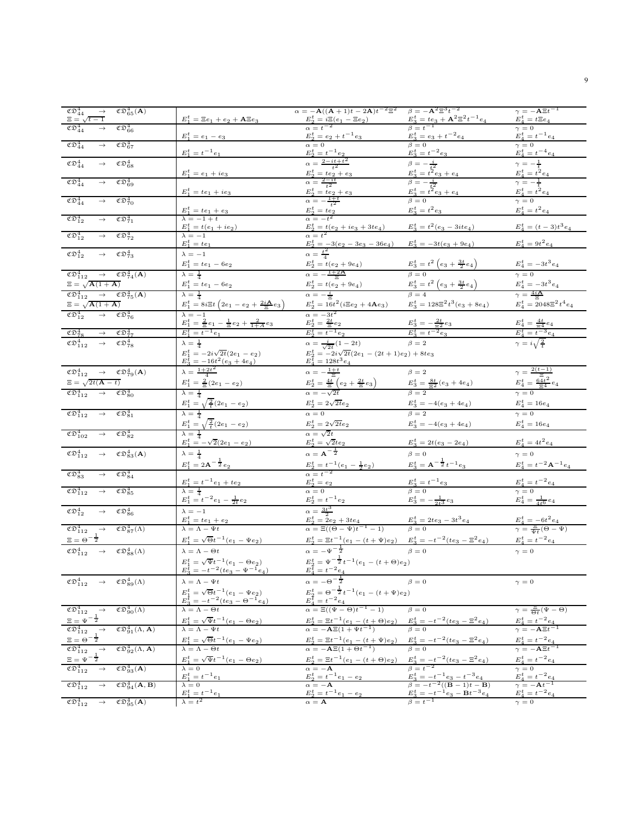| $\mathfrak{CD}^4_{65}({\bf A})$<br>$\mathfrak{CD}^4_{44}$<br>$\rightarrow$                                          |                                                                                                                                                              | $\alpha = -\mathbf{A}((\mathbf{A} + 1)t - 2\mathbf{A})t^{-2}\mathbf{E}^{2}$ $\beta = -\mathbf{A}^{2}\mathbf{E}^{3}t^{-2}$                                                |                                                                                                                                                                                                                                                                                                           | $\gamma = -A \Xi t^{-1}$                                                                                           |
|---------------------------------------------------------------------------------------------------------------------|--------------------------------------------------------------------------------------------------------------------------------------------------------------|--------------------------------------------------------------------------------------------------------------------------------------------------------------------------|-----------------------------------------------------------------------------------------------------------------------------------------------------------------------------------------------------------------------------------------------------------------------------------------------------------|--------------------------------------------------------------------------------------------------------------------|
| $\Xi = \sqrt{t-1}$<br>$\mathfrak{CD}^4_{44}$                                                                        | $E_1^t = \Xi e_1 + e_2 + \mathbf{A}\Xi e_3$                                                                                                                  | $\frac{E_2^t = i \Xi(e_1 - \Xi e_2)}{\alpha = t^{-2}}$                                                                                                                   | $\label{eq:2.1} \frac{E_3^t = te_3 + {\bf A}^2 \Xi^2 t^{-1} e_4}{\beta = t^{-1}}$                                                                                                                                                                                                                         | $\frac{E_4^t}{\gamma=0} = t \Xi e_4$                                                                               |
| $\mathfrak{CD}^4_{66}$                                                                                              | $E_1^t = e_1 - e_3$                                                                                                                                          |                                                                                                                                                                          | $\begin{array}{l} \beta=t^{-1}\\ \underline{E_3^t}=\underline{e_3+t^{-2}e_4}\\ \underline{B_4^t}=0\\ \underline{E_5^t}=\underline{t^{-2}e_3}\\ \beta=-\frac{i}{t^2}\\ \underline{E_3^t}=\underline{t^2}e_3+e_4\\ \beta=-\frac{i}{t^2}\\ \underline{E_3^t}=\underline{t^2}e_3+e_4\\ \beta=0\\ \end{array}$ |                                                                                                                    |
| $\mathfrak{CD}^4_{44}$<br>$\mathfrak{CD}_{67}^4$<br>$\rightarrow$                                                   |                                                                                                                                                              | $\begin{array}{l} \label{eq:2.1} E_2^t = e_2 + t^{-1} e_3 \\ \alpha = 0 \end{array}$                                                                                     |                                                                                                                                                                                                                                                                                                           | $\frac{E_4^t}{\gamma} = t^{-1} e_4$                                                                                |
|                                                                                                                     | $E_1^t=t^{-1}e_1$                                                                                                                                            | $\frac{E_2^t = t^{-1} e_2}{\alpha = \frac{2 - it + t^2}{t^2}}$                                                                                                           |                                                                                                                                                                                                                                                                                                           | $E_4^t = t^{-4} e_4$<br>$\gamma = -\frac{1}{t}$<br>$E_4^t = t^2 e_4$                                               |
| $\mathfrak{CD}^4_{44}$<br>$\mathfrak{CD}^4_{68}$<br>$\rightarrow$                                                   |                                                                                                                                                              |                                                                                                                                                                          |                                                                                                                                                                                                                                                                                                           |                                                                                                                    |
|                                                                                                                     | $E_1^t = e_1 + ie_3$                                                                                                                                         | $E_2^t = te_2 + e_3$ $\alpha = \frac{2 - it}{t^2}$                                                                                                                       |                                                                                                                                                                                                                                                                                                           |                                                                                                                    |
| $\mathfrak{CD}^4_{44}$<br>$\mathfrak{CD}^4_{69}$<br>$\rightarrow$                                                   |                                                                                                                                                              |                                                                                                                                                                          |                                                                                                                                                                                                                                                                                                           |                                                                                                                    |
|                                                                                                                     | $E_1^t=te_1+ie_3$                                                                                                                                            |                                                                                                                                                                          |                                                                                                                                                                                                                                                                                                           |                                                                                                                    |
| $\mathfrak{CD}^4_{44}$<br>$\mathfrak{CD}_{70}^4$<br>$\rightarrow$                                                   |                                                                                                                                                              | $E_2^t = te_2 + e_3$ $\alpha = -\frac{1+t}{t^2}$                                                                                                                         |                                                                                                                                                                                                                                                                                                           | $\frac{-4}{\gamma} = -\frac{1}{t}$<br>$E_4^t = t^2 e_4$<br>$\gamma = 0$                                            |
|                                                                                                                     | $\frac{E_1^t = te_1 + e_3}{\lambda = -1 + t}$                                                                                                                | $\frac{E_2^t = te_2^t}{\alpha = -t^2}$                                                                                                                                   | $E_3^t = t^2 e_3$                                                                                                                                                                                                                                                                                         | $E_4^t=t^2e_4$                                                                                                     |
| $\mathfrak{CD}_{12}^4$<br>$\mathfrak{CD}_{71}^4$<br>$\rightarrow$                                                   |                                                                                                                                                              |                                                                                                                                                                          |                                                                                                                                                                                                                                                                                                           |                                                                                                                    |
|                                                                                                                     | $\label{eq:11} \begin{array}{l} E_1^t = t(e_1 + ie_2) \\ \lambda = -1 \end{array}$                                                                           | $\label{eq:2} \begin{array}{l} \underline{E}_2^t = t(e_2+ie_3+3te_4)\\ \alpha = t^2 \end{array}$                                                                         | $E_3^t=t^2(e_3-3ite_4)$                                                                                                                                                                                                                                                                                   | $E_4^t = (t-3)t^3 e_4$                                                                                             |
| $\mathfrak{CD}_{12}^4$<br>$\mathfrak{CD}_{72}^4$<br>$\rightarrow$                                                   |                                                                                                                                                              |                                                                                                                                                                          | $E_3^t = -3t(e_3 + 9e_4)$                                                                                                                                                                                                                                                                                 | $E_4^t=9t^2e_4$                                                                                                    |
| $\mathfrak{CD}_{12}^4$<br>$\mathfrak{CD}_{73}^4$<br>$\longrightarrow$                                               | $\frac{E_1^t = te_1}{\lambda = -1}$                                                                                                                          | $E_2^t = -3(e_2 - 3e_3 - 36e_4)$<br>$\alpha = \frac{t^2}{4}$                                                                                                             |                                                                                                                                                                                                                                                                                                           |                                                                                                                    |
|                                                                                                                     |                                                                                                                                                              |                                                                                                                                                                          |                                                                                                                                                                                                                                                                                                           |                                                                                                                    |
|                                                                                                                     | $\boldsymbol{E}_1^t$ = $te_1$ – $6e_2$                                                                                                                       | $\label{eq:22} \begin{split} \frac{E_2^t = t(e_2 + 9e_4)}{\alpha = -\frac{1+2\mathbf{A}}{\Xi}} \end{split}$                                                              | $E_3^t = t^2 (e_3 + \frac{3t}{2}e_4)$<br>$\beta = 0$                                                                                                                                                                                                                                                      | $\label{eq:1D1V:2} \frac{E_4^t = -3t^3e_4}{\gamma = 0}$                                                            |
| $\mathfrak{CD}^4_{112} \rightarrow \mathfrak{CD}^4_{74}(\mathbf{A})$                                                | $\lambda = \frac{1}{4}$                                                                                                                                      |                                                                                                                                                                          |                                                                                                                                                                                                                                                                                                           |                                                                                                                    |
| $\Xi=\sqrt{{\bf A}(1+{\bf A})}$                                                                                     | $E_1^t = te_1 - 6e_2$                                                                                                                                        |                                                                                                                                                                          | $E_3^t = t^2 (e_3 + \frac{3t}{2}e_4)$<br>$\beta = 4$                                                                                                                                                                                                                                                      |                                                                                                                    |
| $\mathfrak{CD}^4_{112} \rightarrow \mathfrak{CD}^4_{75}(\mathbf{A})$                                                | $\lambda = \frac{1}{4}$                                                                                                                                      | $E_2^t = t(e_2 + 9e_4)$ $\alpha = -\frac{i}{5}$                                                                                                                          |                                                                                                                                                                                                                                                                                                           | $E_4^t = -3t^3e_4$ $\gamma = \frac{4i\mathbf{A}}{5}$                                                               |
| $\Xi=\sqrt{{\bf A}(1+{\bf A})}$                                                                                     | $E_1^t = 8i\Xi t\left(2e_1 - e_2 + \frac{2i\mathbf{A}}{\Xi}e_3\right)$                                                                                       | $E_2^t = 1 \overset{\text{--}}{6} t^2 (i \Xi e_2 + 4 \ensuremath{\mathbf{A}} e_3)$                                                                                       | $E_3^t = 128\Xi^2 t^3 (e_3 + 8e_4)$                                                                                                                                                                                                                                                                       | $E_4^t = 2048 \Xi^2 t^4 e_4$                                                                                       |
| $\mathfrak{CD}_{12}^4$<br>$\mathfrak{CD}_{76}^4$<br>$\rightarrow$                                                   | $\lambda = -1$                                                                                                                                               | $\frac{1}{\alpha} = -3t^2$                                                                                                                                               |                                                                                                                                                                                                                                                                                                           |                                                                                                                    |
|                                                                                                                     |                                                                                                                                                              | $\frac{E_2^t}{E_2^t} = \frac{\frac{2t}{E}e_2}{E_2^t}$                                                                                                                    | $\frac{E_{3}^{t}=-\frac{2t}{\Xi^{2}}e_{3}}{E_{3}^{t}=t^{-2}e_{3}}$                                                                                                                                                                                                                                        | $\frac{E_4^t}{E_4^t} = \frac{4t}{54}e_4$<br>$\frac{E_4^t}{4} = t^{-3}e_4$                                          |
| $\mathfrak{CD}_{78}^4$<br>$\mathfrak{CD}_{77}^4$<br>$\rightarrow$                                                   | $E_1^t = \frac{2}{5}e_1 - \frac{1}{5}e_2 + \frac{2}{1+A}e_3$<br>$E_1^t = t^{-1}e_1$<br>$\lambda = \frac{1}{4}$                                               |                                                                                                                                                                          |                                                                                                                                                                                                                                                                                                           |                                                                                                                    |
| $\mathfrak{C}\mathfrak{D}^4_{112}$<br>$\rightarrow$ $\mathfrak{CD}_{78}^4$                                          |                                                                                                                                                              | $\alpha = \frac{i}{\sqrt{2t}}(1-2t)$                                                                                                                                     | $\beta = 2$                                                                                                                                                                                                                                                                                               | $\gamma = i \sqrt{\frac{2}{t}}$                                                                                    |
|                                                                                                                     |                                                                                                                                                              | $E_2^t = -2i\sqrt{2t}(2e_1 - (2t+1)e_2) + 8te_3$                                                                                                                         |                                                                                                                                                                                                                                                                                                           |                                                                                                                    |
|                                                                                                                     | $E_1^t = -2i\sqrt{2t}(2e_1 - e_2)$<br>$E_3^t = -16t^2(e_3 + 4e_4)$<br>$\lambda = \frac{1+2t^2}{4}$                                                           | $E_4^t = 128t^3e_4$ $\alpha = -\frac{1+t}{5}$                                                                                                                            |                                                                                                                                                                                                                                                                                                           |                                                                                                                    |
| $\mathfrak{CD}^4_{112} \rightarrow \mathfrak{CD}^4_{79}(\mathbf{A})$                                                |                                                                                                                                                              |                                                                                                                                                                          | $\beta = 2$                                                                                                                                                                                                                                                                                               |                                                                                                                    |
| $\Xi=\sqrt{2t(\mathbf{A}-t)}$                                                                                       | $\begin{array}{l} E_1^t = \frac{2}{\Xi}(2e_1 - e_2) \\ \lambda = \frac{1}{4} \\ E_1^t = \sqrt{\frac{2}{t}}(2e_1 - e_2) \\ \lambda = \frac{1}{4} \end{array}$ | $\frac{E_2^t}{\alpha} = \frac{4t}{\Xi} \left( e_2 + \frac{2t}{\Xi} e_3 \right)$<br>$\alpha = -\sqrt{2t}$                                                                 | $E_3^t = \frac{8t}{\Xi^2} (e_3 + 4e_4)$<br>$\beta = 2$                                                                                                                                                                                                                                                    | $\begin{array}{l} \gamma = \frac{2(t-1)}{\Xi} \\ E_4^t = \frac{64t^2}{\Xi^4} e_4 \\ \hline \gamma = 0 \end{array}$ |
| $\mathfrak{CD}^4_{112} \rightarrow \mathfrak{CD}^4_{80}$                                                            |                                                                                                                                                              |                                                                                                                                                                          |                                                                                                                                                                                                                                                                                                           |                                                                                                                    |
|                                                                                                                     |                                                                                                                                                              | $\label{eq:1D1V:2} \begin{split} E_2^t &= 2\sqrt{2t}e_2\\ \alpha &= 0 \end{split}$                                                                                       | $E_3^t = -4(e_3 + 4e_4)$<br>$\beta = 2$                                                                                                                                                                                                                                                                   | $\label{eq:11} \frac{E_4^{\,t}}{\gamma\,=\,0} = 16\,e_4$                                                           |
| $\mathfrak{CD}^4_{112}$<br>$\mathfrak{CD}^4_{81}$<br>$\rightarrow$                                                  |                                                                                                                                                              |                                                                                                                                                                          |                                                                                                                                                                                                                                                                                                           |                                                                                                                    |
|                                                                                                                     |                                                                                                                                                              | $E_2^t=2\sqrt{2t}e_2$                                                                                                                                                    | $E_3^t = -4(e_3 + 4e_4)$                                                                                                                                                                                                                                                                                  | $E_4^t=16e_4\,$                                                                                                    |
| $\mathfrak{CD}^4_{102}$<br>$\mathfrak{CD}^4_{82}$<br>$\rightarrow$                                                  | $\frac{E_1^t}{\lambda = \frac{1}{4}} \frac{\sqrt{\frac{2}{t}}(2e_1 - e_2)}{\frac{1}{4}}$                                                                     | $\alpha = \sqrt{2}t$                                                                                                                                                     |                                                                                                                                                                                                                                                                                                           |                                                                                                                    |
|                                                                                                                     | $E_1^t = -\sqrt{2}(2e_1 - e_2)$                                                                                                                              | $\frac{E_2^t = \sqrt{2}te_2}{\alpha = \mathbf{A}^{-\tfrac{1}{2}}}$                                                                                                       | $E_3^t = 2t(e_3 - 2e_4)$                                                                                                                                                                                                                                                                                  | $E_4^t=4t^2e_4$                                                                                                    |
| $\mathfrak{CD}^4_{112}$<br>$\mathfrak{CD}^4_{83}({\bf A})$<br>$\rightarrow$                                         | $\lambda = \frac{1}{4}$                                                                                                                                      |                                                                                                                                                                          | $\beta = 0$                                                                                                                                                                                                                                                                                               | $\gamma = 0$                                                                                                       |
|                                                                                                                     | $E_1^t = 2\mathbf{A}^{-\tfrac{1}{2}}e_2$                                                                                                                     | $\frac{E_2^t = t^{-1}(e_1 - \frac{1}{2}e_2)}{\alpha = t^{-2}}$                                                                                                           | $E_3^t = A^{-\tfrac{1}{2}} t^{-1} e_3$                                                                                                                                                                                                                                                                    | $E_4^{\,t} = t^{-2} \, {\rm A}^{-1} e_4$                                                                           |
| $\mathfrak{CD}_{83}^4$<br>$\mathfrak{CD}^4_{84}$<br>$\rightarrow$                                                   |                                                                                                                                                              |                                                                                                                                                                          |                                                                                                                                                                                                                                                                                                           |                                                                                                                    |
|                                                                                                                     | $\frac{E_1^t = t^{-1}e_1 + te_2}{\lambda = \frac{1}{4}}$                                                                                                     | $\label{eq:1D1V:2} \begin{array}{l} E_2^t=e_2\\ \alpha=0 \end{array}$                                                                                                    | $\label{eq:1D1V:2} \begin{array}{l} E_3^t = t^{-1} e_3 \\ \beta = 0 \end{array}$                                                                                                                                                                                                                          | $\label{eq:1D1V:2} \begin{array}{l} E_4^t = t^{-2} e_4 \\ \gamma = 0 \end{array}$                                  |
| $\mathfrak{CD}^4_{112} \rightarrow$<br>$\mathfrak{CD}^4_{85}$                                                       |                                                                                                                                                              |                                                                                                                                                                          |                                                                                                                                                                                                                                                                                                           |                                                                                                                    |
|                                                                                                                     | $E_1^t = t^{-2}e_1 - \frac{1}{2t}e_2$<br>$\lambda = -1$                                                                                                      |                                                                                                                                                                          | $E_3^t=-\frac{1}{2t^3}e_3$                                                                                                                                                                                                                                                                                | $E_4^t=\frac{1}{4t^6}e_4$                                                                                          |
| $\mathfrak{CD}_{12}^4$<br>$\mathfrak{CD}^4_{86}$<br>$\rightarrow$                                                   |                                                                                                                                                              | $\begin{array}{l} \label{eq:27} E_2^t = t^{-1} e_2 \\ \hline \alpha = \frac{3t^3}{2} \end{array}$                                                                        |                                                                                                                                                                                                                                                                                                           |                                                                                                                    |
|                                                                                                                     | $\frac{E_1^t = te_1 + e_2}{\lambda = \Lambda - \Psi t}$                                                                                                      | $E_2^t = 2e_2 + 3te_4$ $\alpha = \Xi((\Theta - \Psi)t^{-1} - 1)$                                                                                                         | $\frac{E_3^t = 2te_3 - 3t^3e_4}{\beta = 0}$                                                                                                                                                                                                                                                               | $\frac{E_4^t = -6t^2e_4}{\gamma = \frac{\Xi}{\Psi t}(\Theta - \Psi)}$                                              |
| $\mathfrak{C} \mathfrak{D}^4_{112} \rightarrow$<br>$\mathfrak{CD}_{87}^4(\Lambda)$                                  |                                                                                                                                                              |                                                                                                                                                                          |                                                                                                                                                                                                                                                                                                           |                                                                                                                    |
| $\Xi = \Theta^{-\frac{1}{2}}$                                                                                       | $E_1^t = \sqrt{\Theta} t^{-1} (e_1 - \Psi e_2)$                                                                                                              | $E_2^t = \Xi t^{-1} (e_1 - (t + \Psi) e_2) \quad \  E_3^t = - t^{-2} (t e_3 - \Xi^2 e_4)$                                                                                |                                                                                                                                                                                                                                                                                                           | $E_4^t=t^{-2}e_4$                                                                                                  |
| $\mathfrak{CD}^4_{112}$<br>$\rightarrow$ $\mathfrak{CD}_{88}^4(\Lambda)$                                            | $\lambda = \Lambda - \Theta t$                                                                                                                               | $\alpha = -\Psi^{-\frac{1}{2}}$                                                                                                                                          | $\beta = 0$                                                                                                                                                                                                                                                                                               | $\gamma = 0$                                                                                                       |
|                                                                                                                     | $E_1^t = \sqrt{\Psi} t^{-1} (e_1 - \Theta e_2)$                                                                                                              | $E_2^t = \Psi^{-\frac{1}{2}} t^{-1} (e_1 - (t + \Theta) e_2)$<br>$E_4^t = t^{-2} e_4$<br>$\alpha = -\Theta^{-\frac{1}{2}}$                                               |                                                                                                                                                                                                                                                                                                           |                                                                                                                    |
|                                                                                                                     | $E_3^{\frac{1}{t}} = -t^{-2}(te_3 - \Psi^{-1}e_4)$                                                                                                           |                                                                                                                                                                          |                                                                                                                                                                                                                                                                                                           |                                                                                                                    |
| $\mathfrak{C} \mathfrak{D}^4_{112} \longrightarrow$<br>$\mathfrak{CD}_{89}^4(\Lambda)$                              | $\lambda = \Lambda - \Psi t$                                                                                                                                 |                                                                                                                                                                          | $\beta = 0$                                                                                                                                                                                                                                                                                               | $\gamma = 0$                                                                                                       |
|                                                                                                                     |                                                                                                                                                              | $\begin{array}{l} {E}_{2}^{t}=\Theta^{-\tfrac{1}{2}}t^{-1}(e_{1}-(t+\Psi)e_{2})\\ {E}_{4}^{t}=t^{-2}e_{4}\\ \alpha =\Xi((\Psi-\Theta)t^{-1}-1) \qquad \beta \end{array}$ |                                                                                                                                                                                                                                                                                                           |                                                                                                                    |
|                                                                                                                     | $\begin{array}{l} E_1^t=\sqrt{\Theta}t^{-1}(e_1-\Psi e_2)\\ E_3^t=-t^{-2}(te_3-\Theta^{-1}e_4)\\ \lambda=\Lambda-\Theta t \end{array}$                       |                                                                                                                                                                          |                                                                                                                                                                                                                                                                                                           |                                                                                                                    |
| $\mathfrak{C} \mathfrak{D}^4_{112}$<br>$\mathfrak{CD}_{90}^4(\Lambda)$<br>$\rightarrow$                             |                                                                                                                                                              |                                                                                                                                                                          |                                                                                                                                                                                                                                                                                                           | $\gamma = \frac{\Xi}{\Theta t}(\Psi - \Theta)$                                                                     |
| $\frac{\Xi=\Psi^{-\tfrac{1}{2}}}{\mathfrak{CD}^4_{112} \quad \, \to}$                                               | $\frac{E_1^t = \sqrt{\Psi} t^{-1} (e_1 - \Theta e_2)}{\lambda = \Lambda - \Psi t}$                                                                           | $\frac{E_2^t}{\alpha} = \Xi t^{-1} \frac{(e_1 - (t + \Theta) e_2)}{(e_1 + \Psi t^{-1})} \frac{E_3^t}{\beta} = - t^{-2} (te_3 - \Xi^2 e_4)$                               |                                                                                                                                                                                                                                                                                                           | $E_4^t = t^{-2} e_4$<br>$\gamma = -A \Xi t^{-1}$                                                                   |
| $\mathfrak{CD}_{91}^4(\Lambda,\mathbf{A})$                                                                          |                                                                                                                                                              |                                                                                                                                                                          |                                                                                                                                                                                                                                                                                                           |                                                                                                                    |
| $\frac{\Xi = \Theta^{-\frac{1}{2}}}{\mathfrak{C}\mathfrak{D}_{112}^4 \rightarrow}$                                  | $\frac{E_1^t = \sqrt{\Theta}t^{-1}(e_1 - \Psi e_2)}{\lambda = \Lambda - \Theta t}$                                                                           | $\frac{E_2^t}{\alpha} = \frac{\Xi t^{-1}(e_1 - (t + \Psi)e_2)}{-\mathbf{A}\Xi(1 + \Theta t^{-1})} \frac{E_3^t}{\beta} = -t^{-2}(te_3 - \Xi^2 e_4)$                       |                                                                                                                                                                                                                                                                                                           | $\frac{E_4^t = t^{-2}e_4}{\gamma = -\mathbf{A}\Xi t^{-1}}$                                                         |
| $\mathfrak{CD}_{92}^4(\Lambda,\mathbf{A})$                                                                          |                                                                                                                                                              |                                                                                                                                                                          |                                                                                                                                                                                                                                                                                                           |                                                                                                                    |
|                                                                                                                     | $\frac{E_1^t = \sqrt{\Psi} t^{-1} (e_1 - \Theta e_2)}{\lambda = 0}$                                                                                          | $\frac{E_{2}^{t} = \Xi t^{-1} (e_{1} - (t + \Theta) e_{2})}{\alpha = -\mathbf{A}} \quad \frac{E_{3}^{t} = -t^{-2} (te_{3} - \Xi^{2} e_{4})}{\beta = t^{-2}}$             |                                                                                                                                                                                                                                                                                                           | $\frac{E_4^t = t^{-2}e_4}{\gamma = 0}$                                                                             |
| $\frac{\Xi = \Psi^{-\tfrac{1}{2}}}{\mathfrak{C}\mathfrak{D}^4_{112}}$<br>$\mathfrak{CD}_{93}^4(A)$<br>$\rightarrow$ |                                                                                                                                                              |                                                                                                                                                                          |                                                                                                                                                                                                                                                                                                           |                                                                                                                    |
|                                                                                                                     | $E_1^t = t^{-1}e_1$                                                                                                                                          | $\begin{array}{l} E_2^t = t^{-1} e_1 - e_2 \\ \alpha = -\mathbf{A} \end{array}$                                                                                          | $E_3^t = -t^{-1}e_3 - t^{-3}e_4$<br>$\beta = -t^{-2}((\mathbf{B} - 1)t - \mathbf{B})$                                                                                                                                                                                                                     | $\frac{E_4^t = t^{-2} e_4}{\gamma = -\mathbf{A} t^{-1}}$                                                           |
| $\mathfrak{C} \mathfrak{D}^4_{112}$<br>$\mathfrak{CD}^4_{94}(\mathbf{A}, \mathbf{B})$<br>$\rightarrow$              | $\lambda = 0$                                                                                                                                                |                                                                                                                                                                          |                                                                                                                                                                                                                                                                                                           |                                                                                                                    |
| $\mathfrak{CD}^4_{112} \rightarrow$<br>$\mathfrak{CD}_{95}^4(\mathbf{A})$                                           | $\label{eq:1D1V:2} \begin{array}{l} E_1^t = t^{-1} e_1 \\ \lambda = t^2 \end{array}$                                                                         | $E_2^t = t^{-1}e_1 - e_2$<br>$\alpha = A$                                                                                                                                | $\frac{E_3^t = -t^{-1}e_3 - Bt^{-3}e_4}{\beta = t^{-1}}$                                                                                                                                                                                                                                                  | $\frac{E_4^t = t^{-2}e_4}{\gamma = 0}$                                                                             |
|                                                                                                                     |                                                                                                                                                              |                                                                                                                                                                          |                                                                                                                                                                                                                                                                                                           |                                                                                                                    |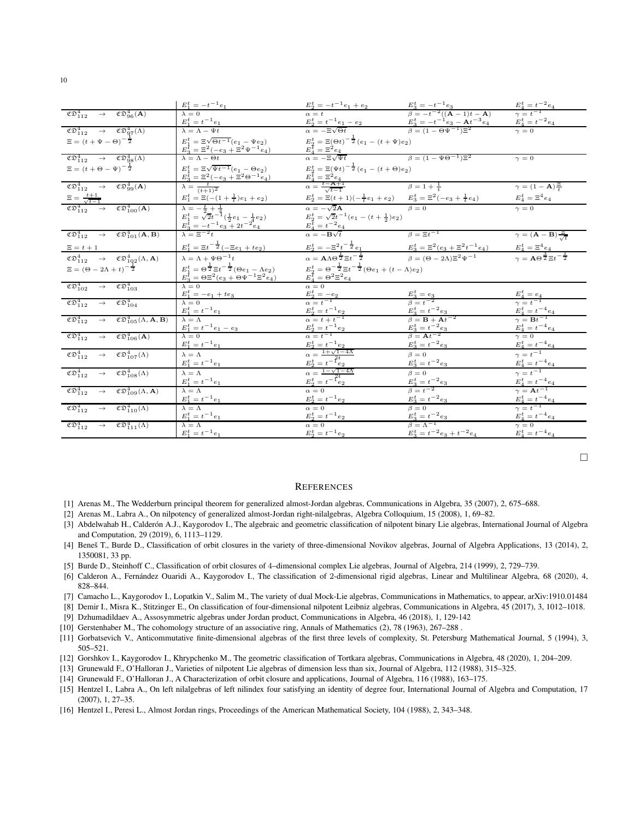|                                                                                                                                                       | $\frac{E_1^t = -t^{-1}e_1}{\lambda = 0}$                                                                                                                                                 | $\frac{E_2^t}{\alpha = t} = -t^{-1}e_1 + e_2$                                                                                                                         | $\frac{E_3^t = -t^{-1}e_3}{\beta = -t^{-2}((\mathbf{A} - 1)t - \mathbf{A})}$                                                                                                                                                              | $E_4^t=t^{-2}e_4$                                                                                                                             |
|-------------------------------------------------------------------------------------------------------------------------------------------------------|------------------------------------------------------------------------------------------------------------------------------------------------------------------------------------------|-----------------------------------------------------------------------------------------------------------------------------------------------------------------------|-------------------------------------------------------------------------------------------------------------------------------------------------------------------------------------------------------------------------------------------|-----------------------------------------------------------------------------------------------------------------------------------------------|
| $\mathfrak{CD}^4_{112} \rightarrow \mathfrak{CD}^4_{96}(\mathbf{A})$                                                                                  | $\begin{array}{l} E_1^t = t^{-1} e_1 \\ \lambda = \Lambda - \Psi t \end{array}$                                                                                                          |                                                                                                                                                                       | $\begin{array}{lllll} E^t_2 = t^{-1} e_1 - e_2 & \quad E^t_3 = - t^{-1} e_3 - {\bf A} t^{-3} e_4 & \quad E^t_4 = t^{-2} e_4 \\ \alpha = -\Xi \sqrt{\Theta t} & \quad \beta = (1 - \Theta \Psi^{-1}) \Xi^2 & \quad \gamma = 0 \end{array}$ | $\gamma=t^{-1}$                                                                                                                               |
| $\mathfrak{CD}^4_{112} \rightarrow \mathfrak{CD}^4_{97}(\Lambda)$                                                                                     |                                                                                                                                                                                          |                                                                                                                                                                       |                                                                                                                                                                                                                                           |                                                                                                                                               |
| $\Xi = (t + \Psi - \Theta)^{-\frac{1}{2}}$                                                                                                            | $E_1^t = \Xi \sqrt{\Theta t^{-1}} (e_1 - \Psi e_2)$<br>$E_3^t = \Xi^2(-e_3 + \Xi^2 \Psi^{-1} e_4)$<br>$\lambda = \Lambda - \Theta t$                                                     | $E_2^t = \Xi(\Theta t)^{-\frac{1}{2}}(e_1 - (t + \Psi)e_2)$<br>$\frac{E_4^{\tilde{t}} - \Xi^{\tilde{2}}e_4}{\alpha = -\Xi\sqrt{\Psi t}}$                              |                                                                                                                                                                                                                                           |                                                                                                                                               |
| $\mathfrak{CD}^4_{112} \rightarrow \mathfrak{CD}^4_{98}(\Lambda)$                                                                                     |                                                                                                                                                                                          |                                                                                                                                                                       | $\beta = (1 - \Psi \Theta^{-1})\Xi^2$                                                                                                                                                                                                     | $\gamma = 0$                                                                                                                                  |
| $E = (t + \Theta - \Psi)^{-\frac{1}{2}}$                                                                                                              | $E_1^t = \Xi \sqrt{\Psi t^{-1}} (e_1 - \Theta e_2)$<br>$E_3^{\frac{1}{t}} = \frac{1}{\Xi^2(-e_3 + \Xi^2 \Theta^{-1} e_4)}$<br>$\lambda = \frac{t}{(t+1)^2}$                              | $E_2^t = \Xi \big( \Psi t \big)^{-\tfrac{1}{2}} \big( e_1 - (t+\Theta) e_2 \big)$<br>$E_4^{\hat{t}} = \Xi^{\hat{2}} e_4$<br>$\alpha = \frac{t - A + 1}{\sqrt{t - 1}}$ |                                                                                                                                                                                                                                           |                                                                                                                                               |
| $\mathfrak{CD}^4_{112} \rightarrow \mathfrak{CD}^4_{99}(\mathbf{A})$                                                                                  |                                                                                                                                                                                          |                                                                                                                                                                       | $\beta = 1 + \frac{1}{t}$                                                                                                                                                                                                                 | $\gamma = (1 - A)\frac{\Xi}{t}$                                                                                                               |
| $\begin{array}{lcl} \Xi=\frac{t+1}{\sqrt{t-1}}\\ \mathfrak{C}\mathfrak{D}^4_{112} &\rightarrow & \mathfrak{C}\mathfrak{D}^4_{100}(\bf A) \end{array}$ | $E_1^t = \Xi(-(1+\frac{1}{t})e_1+e_2)$                                                                                                                                                   | $E_2^t = \Xi(t+1)(-\tfrac{1}{t}e_1+e_2) \qquad E_3^t = \Xi^2(-e_3+\tfrac{1}{t}e_4)$                                                                                   |                                                                                                                                                                                                                                           | $E_4^t=\Xi^4e_4$                                                                                                                              |
|                                                                                                                                                       |                                                                                                                                                                                          | $\alpha = -\sqrt{2A}$                                                                                                                                                 | $\beta = 0$                                                                                                                                                                                                                               | $\gamma = 0$                                                                                                                                  |
|                                                                                                                                                       | $\begin{array}{l} \lambda = -\frac{t}{2} + \frac{1}{4} \\ E_1^t = \sqrt{2}t^{-1}(\frac{1}{2}e_1 - \frac{1}{4}e_2) \\ E_3^t = -t^{-1}e_3 + 2t^{-2}e_4 \\ \lambda = \Xi^{-2}t \end{array}$ | $E_2^t = \sqrt{2} t^{-1} (e_1 - (t + \frac{1}{2}) e_2)$                                                                                                               |                                                                                                                                                                                                                                           |                                                                                                                                               |
| $\mathfrak{CD}^4_{112} \rightarrow \mathfrak{CD}^4_{101}(\mathbf{A}, \mathbf{B})$                                                                     |                                                                                                                                                                                          | $\frac{E_4^{\tilde{t}}}{\alpha} = t^{-2} e_4$<br>$\alpha = -\mathbf{B}\sqrt{t}$                                                                                       | $\beta = \Xi t^{-1}$                                                                                                                                                                                                                      | $\gamma = (\mathbf{A} - \mathbf{B}) \frac{\mathbf{E}}{\sqrt{t}}$                                                                              |
| $\Xi = t + 1$                                                                                                                                         | $E_1^t = \Xi t^{-\frac{1}{2}}(-\Xi e_1 + te_2)$                                                                                                                                          | $\begin{array}{l} E_2^t=-\Xi^2t^{-\tfrac{1}{2}}e_1\\ \alpha={\mathbf{A}}\Lambda\Theta^{\tfrac{1}{2}}{\Xi}t^{-\tfrac{1}{2}} \end{array}$                               | $E_3^t = \Xi^2 (e_3 + \Xi^2 t^{-1} e_4)$                                                                                                                                                                                                  | $\begin{array}{l} \label{eq:1D1V:0} E_4^t = \Xi^4 e_4 \\ \gamma = \mathbf{A} \Theta^{\tfrac{3}{2}} \Xi t^{-\tfrac{1}{2}} \end{array}$         |
| $\label{eq:2.10} \mathfrak{C} \mathfrak{D}^4_{112} \quad \rightarrow \quad \mathfrak{C} \mathfrak{D}^4_{102}(\Lambda,\mathbf{A})$                     | $\lambda = \Lambda + \Psi \Theta^{-1} t$                                                                                                                                                 |                                                                                                                                                                       | $\beta = (\Theta - 2\Lambda)\Xi^2 \Psi^{-1}$                                                                                                                                                                                              |                                                                                                                                               |
| $\Xi = \left(\Theta - 2\Lambda + t\right)^{-\frac{1}{2}}$                                                                                             | $E_1^t = \Theta^{\frac{1}{2}} \Xi t^{-\frac{1}{2}} (\Theta e_1 - \Lambda e_2)$<br>$E_3^1 = \Theta \Xi^2 (e_3 + \Theta \Psi^{-1} \Xi^2 e_4)$<br>$\lambda = 0$                             | $E_2^t = \Theta^{-\tfrac{1}{2}} \Xi t^{-\tfrac{1}{2}} (\Theta e_1 + (t-\Lambda) e_2)$<br>$E_4^t = \Theta^2 \Xi^2 e_4$<br>$\alpha = 0$                                 |                                                                                                                                                                                                                                           |                                                                                                                                               |
| $\mathfrak{CD}^4_{102} \rightarrow \mathfrak{CD}^4_{103}$                                                                                             | $\frac{E_1^t = -e_1 + te_3}{\lambda = 0}$                                                                                                                                                | $\frac{E_2^t = -e_2}{\alpha = t^{-1}}$                                                                                                                                | $\frac{E_3^t = e_3}{\beta = t^{-2}}$                                                                                                                                                                                                      | $\frac{E_4^t = e_4}{\gamma = t^{-1}}$                                                                                                         |
| $\mathfrak{C} \mathfrak{D}^4_{112} \rightarrow \mathfrak{C} \mathfrak{D}^4_{104}$                                                                     | $\label{eq:1D1V:1D} \begin{array}{l} E_1^t = t^{-1} e_1 \\ \lambda = \Lambda \end{array}$                                                                                                |                                                                                                                                                                       | $\label{eq:1D1V:2} \begin{array}{l} E_3^t = t^{-2} e_3 \\ \beta = \mathbf{B} + \mathbf{A} t^{-2} \end{array}$                                                                                                                             |                                                                                                                                               |
| $\mathfrak{CD}_{112}^4$<br>$\mathfrak{CD}^4_{105}(\Lambda,\mathbf{A},\mathbf{B})$<br>$\rightarrow$                                                    |                                                                                                                                                                                          | $\label{eq:1D1V:2} \begin{array}{l} E_2^t = t^{-1} e_2 \\ \alpha = t + t^{-1} \end{array}$                                                                            |                                                                                                                                                                                                                                           | $\label{eq:1D1V:2} \begin{split} E_4^t &= t^{-4} e_4 \\ \gamma &= \mathbf{B} t^{-1} \end{split}$                                              |
| $\mathfrak{CD}^4_{112}$<br>$\mathfrak{CD}^4_{106}(\mathbf{A})$<br>$\rightarrow$                                                                       | $\label{eq:1D1V:2} \begin{split} E_1^t &= t^{-1}e_1 - e_3\\ \lambda &= 0 \end{split}$<br>$E_1^t = t^{-1}e_1$                                                                             | $\label{eq:2.1} \begin{array}{c} E_2^t = t^{-1} e_2 \\ \alpha = t^{-1} \end{array}$                                                                                   | $E_3^t = t^{-2} e_3$<br>$\beta = At^{-2}$<br>$E_3^t = t^{-2} e_3$                                                                                                                                                                         | $\frac{E_4^t - t^{-4}e_4}{\gamma = 0}$                                                                                                        |
| $\mathfrak{CD}^4_{112}$<br>$\rightarrow$ $\mathfrak{CD}_{107}^4(\Lambda)$                                                                             | $\lambda = \Lambda$<br>$E_1^t = t^{-1}e_1$                                                                                                                                               | $\frac{E_2^t = t^{-1} e_2}{\alpha = \frac{1 + \sqrt{1 - 4\Lambda}}{2^t}}$<br>$E_2^t = t^{-1}e_2$                                                                      | $\beta = 0$<br>$E_3^t = t^{-2} e_3$                                                                                                                                                                                                       | $\frac{E_4^t - t^{-4}e_4}{\gamma - t^{-1}}$<br>$E_4^t=t^{-4}e_4$                                                                              |
| $\mathfrak{CD}^4_{112}$<br>$\mathfrak{CD}^4_{108}(\Lambda)$<br>$\rightarrow$                                                                          | $\lambda = \Lambda$<br>$E_1^t = t^{-1}e_1$                                                                                                                                               | $\alpha = \frac{1 - \sqrt{1 - 4\Lambda}}{2t}$<br>$E_2^t = t^{-1}e_2$                                                                                                  | $\beta = 0$                                                                                                                                                                                                                               | $\gamma=t^{-1}$                                                                                                                               |
| $\mathfrak{CD}^4_{112}$<br>$\mathfrak{CD}^4_{109}(\Lambda,\mathbf{A})$<br>$\rightarrow$                                                               | $\lambda = \Lambda$<br>$\label{eq:1D1V:2} \begin{array}{l} E_1^t = t^{-1} e_1 \\ \lambda = \Lambda \end{array}$                                                                          | $\alpha = 0$<br>$\label{eq:1D1V:2} \begin{array}{l} E_2^t = t^{-1} e_2 \\ \alpha = 0 \end{array}$                                                                     | $E_3^t = t^{-2} e_3$<br>$\beta = t^{-2}$<br>$E_3^t = t^{-2} e_3$<br>$\beta = 0$                                                                                                                                                           | $\label{eq:1D1V:2} \begin{split} E_4^t &= t^{-4} e_4 \\ \gamma &= \mathbf{A} t^{-1} \end{split}$<br>$E_4^t = t^{-4} e_4$<br>$\gamma = t^{-1}$ |
| $\mathfrak{C} \mathfrak{D}^4_{112} \rightarrow$<br>$\mathfrak{CD}^4_{110}(\Lambda)$                                                                   | $E_1^t=t^{-1}e_1\,$                                                                                                                                                                      | $E_2^t=t^{-1}e_2$                                                                                                                                                     | $\begin{array}{l} E_3^t = t^{-2} e_3 \\ \beta = \Lambda^{-1} \end{array}$                                                                                                                                                                 | $E_4^t=t^{-4}e_4$                                                                                                                             |
| $\mathfrak{CD}^4_{112}$<br>$\mathfrak{CD}^4_{111}(\Lambda)$<br>$\rightarrow$                                                                          | $\lambda = \Lambda$<br>$E_1^t = t^{-1}e_1$                                                                                                                                               | $\alpha=0$<br>$E_2^t = t^{-1} e_2$                                                                                                                                    | $E_3^t = t^{-2} e_3 + t^{-2} e_4 \label{eq:1}$                                                                                                                                                                                            | $\gamma = 0$<br>$E_4^t = t^{-4}e_4$                                                                                                           |

 $\Box$ 

## **REFERENCES**

- <span id="page-9-8"></span><span id="page-9-7"></span>[1] Arenas M., The Wedderburn principal theorem for generalized almost-Jordan algebras, Communications in Algebra, 35 (2007), 2, 675–688.
- <span id="page-9-0"></span>[2] Arenas M., Labra A., On nilpotency of generalized almost-Jordan right-nilalgebras, Algebra Colloquium, 15 (2008), 1, 69–82.
- [3] Abdelwahab H., Calderón A.J., Kaygorodov I., The algebraic and geometric classification of nilpotent binary Lie algebras, International Journal of Algebra and Computation, 29 (2019), 6, 1113–1129.
- [4] Beneš T., Burde D., Classification of orbit closures in the variety of three-dimensional Novikov algebras, Journal of Algebra Applications, 13 (2014), 2, 1350081, 33 pp.
- <span id="page-9-1"></span>[5] Burde D., Steinhoff C., Classification of orbit closures of 4–dimensional complex Lie algebras, Journal of Algebra, 214 (1999), 2, 729–739.
- [6] Calderon A., Fernández Ouaridi A., Kaygorodov I., The classification of 2-dimensional rigid algebras, Linear and Multilinear Algebra, 68 (2020), 4, 828–844.
- <span id="page-9-3"></span><span id="page-9-2"></span>[7] Camacho L., Kaygorodov I., Lopatkin V., Salim M., The variety of dual Mock-Lie algebras, Communications in Mathematics, to appear, arXiv:1910.01484
- <span id="page-9-10"></span>[8] Demir I., Misra K., Stitzinger E., On classification of four-dimensional nilpotent Leibniz algebras, Communications in Algebra, 45 (2017), 3, 1012–1018.
- <span id="page-9-11"></span>[9] Dzhumadildaev A., Assosymmetric algebras under Jordan product, Communications in Algebra, 46 (2018), 1, 129-142
- <span id="page-9-4"></span>[10] Gerstenhaber M., The cohomology structure of an associative ring, Annals of Mathematics (2), 78 (1963), 267–288 .
- [11] Gorbatsevich V., Anticommutative finite-dimensional algebras of the first three levels of complexity, St. Petersburg Mathematical Journal, 5 (1994), 3, 505–521.
- <span id="page-9-12"></span>[12] Gorshkov I., Kaygorodov I., Khrypchenko M., The geometric classification of Tortkara algebras, Communications in Algebra, 48 (2020), 1, 204–209.
- <span id="page-9-5"></span>[13] Grunewald F., O'Halloran J., Varieties of nilpotent Lie algebras of dimension less than six, Journal of Algebra, 112 (1988), 315–325.
- <span id="page-9-9"></span>[14] Grunewald F., O'Halloran J., A Characterization of orbit closure and applications, Journal of Algebra, 116 (1988), 163–175.
- [15] Hentzel I., Labra A., On left nilalgebras of left nilindex four satisfying an identity of degree four, International Journal of Algebra and Computation, 17 (2007), 1, 27–35.
- <span id="page-9-6"></span>[16] Hentzel I., Peresi L., Almost Jordan rings, Proceedings of the American Mathematical Society, 104 (1988), 2, 343–348.